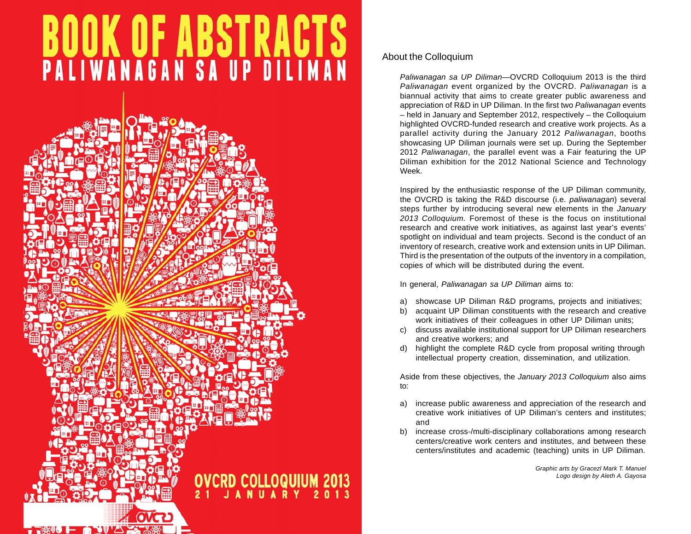# **BUUK UF ABSTRACTS**<br>PALIWANAGAN SA UP DILIMAN



## About the Colloquium

*Paliwanagan sa UP Diliman*—OVCRD Colloquium 2013 is the third *Paliwanagan* event organized by the OVCRD. *Paliwanagan* is a biannual activity that aims to create greater public awareness and appreciation of R&D in UP Diliman. In the first two *Paliwanagan* events – held in January and September 2012, respectively – the Colloquium highlighted OVCRD-funded research and creative work projects. As a parallel activity during the January 2012 *Paliwanagan*, booths showcasing UP Diliman journals were set up. During the September 2012 *Paliwanagan*, the parallel event was a Fair featuring the UP Diliman exhibition for the 2012 National Science and Technology Week.

Inspired by the enthusiastic response of the UP Diliman community, the OVCRD is taking the R&D discourse (i.e. *paliwanagan*) several steps further by introducing several new elements in the *January 2013 Colloquium.* Foremost of these is the focus on institutional research and creative work initiatives, as against last year's events' spotlight on individual and team projects. Second is the conduct of an inventory of research, creative work and extension units in UP Diliman. Third is the presentation of the outputs of the inventory in a compilation, copies of which will be distributed during the event.

In general, *Paliwanagan sa UP Diliman* aims to:

- a) showcase UP Diliman R&D programs, projects and initiatives;
- b) acquaint UP Diliman constituents with the research and creative work initiatives of their colleagues in other UP Diliman units;
- c) discuss available institutional support for UP Diliman researchers and creative workers; and
- d) highlight the complete R&D cycle from proposal writing through intellectual property creation, dissemination, and utilization.

Aside from these objectives, the *January 2013 Colloquium* also aims to:

- a) increase public awareness and appreciation of the research and creative work initiatives of UP Diliman's centers and institutes; and
- b) increase cross-/multi-disciplinary collaborations among research centers/creative work centers and institutes, and between these centers/institutes and academic (teaching) units in UP Diliman.

*Graphic arts by Gracezl Mark T. Manuel Logo design by Aleth A. Gayosa*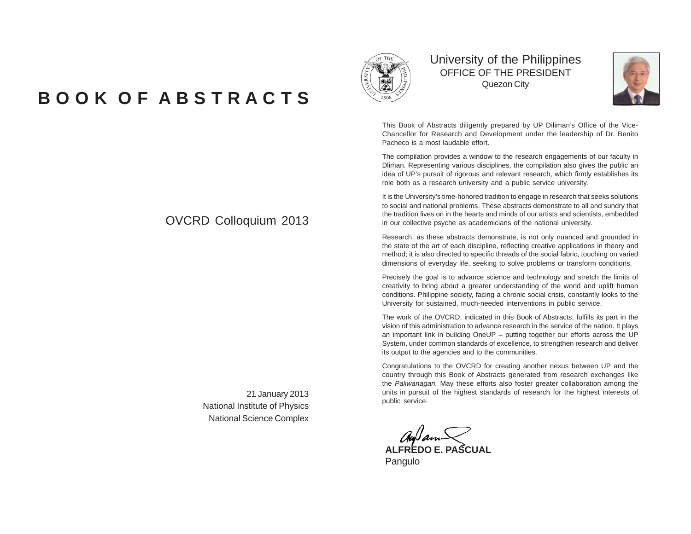# **B O O K O F A B S T R A C T S**



University of the Philippines OFFICE OF THE PRESIDENT Quezon City



This Book of Abstracts diligently prepared by UP Diliman's Office of the Vice-Chancellor for Research and Development under the leadership of Dr. Benito Pacheco is a most laudable effort.

The compilation provides a window to the research engagements of our faculty in Dliman. Representing various disciplines, the compilation also gives the public an idea of UP's pursuit of rigorous and relevant research, which firmly establishes its role both as a research university and a public service university.

It is the University's time-honored tradition to engage in research that seeks solutions to social and national problems. These abstracts demonstrate to all and sundry that the tradition lives on in the hearts and minds of our artists and scientists, embedded in our collective psyche as academicians of the national university.

Research, as these abstracts demonstrate, is not only nuanced and grounded in the state of the art of each discipline, reflecting creative applications in theory and method; it is also directed to specific threads of the social fabric, touching on varied dimensions of everyday life, seeking to solve problems or transform conditions.

Precisely the goal is to advance science and technology and stretch the limits of creativity to bring about a greater understanding of the world and uplift human conditions. Philippine society, facing a chronic social crisis, constantly looks to the University for sustained, much-needed interventions in public service.

The work of the OVCRD, indicated in this Book of Abstracts, fulfills its part in the vision of this administration to advance research in the service of the nation. It plays an important link in building OneUP – putting together our efforts across the UP System, under common standards of excellence, to strengthen research and deliver its output to the agencies and to the communities.

Congratulations to the OVCRD for creating another nexus between UP and the country through this Book of Abstracts generated from research exchanges like the *Paliwanagan.* May these efforts also foster greater collaboration among the units in pursuit of the highest standards of research for the highest interests of public service.

Autom<sub>an</sub><br>ALFREDO E. PASCUAL

Pangulo

# OVCRD Colloquium 2013

21 January 2013 National Institute of Physics National Science Complex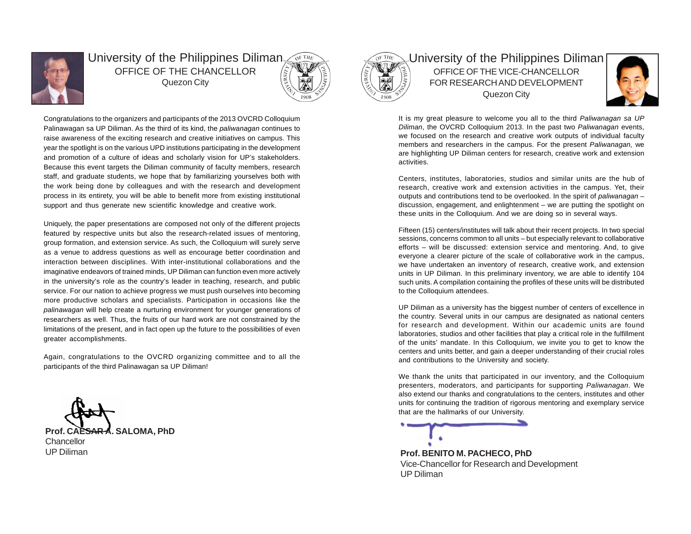

## University of the Philippines Diliman OFFICE OF THE CHANCELLOR Quezon City



Congratulations to the organizers and participants of the 2013 OVCRD Colloquium Palinawagan sa UP Diliman. As the third of its kind, the *paliwanagan* continues to raise awareness of the exciting research and creative initiatives on campus. This year the spotlight is on the various UPD institutions participating in the development and promotion of a culture of ideas and scholarly vision for UP's stakeholders. Because this event targets the Diliman community of faculty members, research staff, and graduate students, we hope that by familiarizing yourselves both with the work being done by colleagues and with the research and development process in its entirety, you will be able to benefit more from existing institutional support and thus generate new scientific knowledge and creative work.

Uniquely, the paper presentations are composed not only of the different projects featured by respective units but also the research-related issues of mentoring, group formation, and extension service. As such, the Colloquium will surely serve as a venue to address questions as well as encourage better coordination and interaction between disciplines. With inter-institutional collaborations and the imaginative endeavors of trained minds, UP Diliman can function even more actively in the university's role as the country's leader in teaching, research, and public service. For our nation to achieve progress we must push ourselves into becoming more productive scholars and specialists. Participation in occasions like the *palinawagan* will help create a nurturing environment for younger generations of researchers as well. Thus, the fruits of our hard work are not constrained by the limitations of the present, and in fact open up the future to the possibilities of even greater accomplishments.

Again, congratulations to the OVCRD organizing committee and to all the participants of the third Palinawagan sa UP Diliman!

**SALOMA, PhD Chancellor** 

UP Diliman



University of the Philippines Diliman OFFICE OF THE VICE-CHANCELLOR FOR RESEARCH AND DEVELOPMENT Quezon City



It is my great pleasure to welcome you all to the third *Paliwanagan sa UP Diliman*, the OVCRD Colloquium 2013. In the past two *Paliwanagan* events, we focused on the research and creative work outputs of individual faculty members and researchers in the campus. For the present *Paliwanagan,* we are highlighting UP Diliman centers for research, creative work and extension activities.

Centers, institutes, laboratories, studios and similar units are the hub of research, creative work and extension activities in the campus. Yet, their outputs and contributions tend to be overlooked. In the spirit of *paliwanagan* – discussion, engagement, and enlightenment – we are putting the spotlight on these units in the Colloquium. And we are doing so in several ways.

Fifteen (15) centers/institutes will talk about their recent projects. In two special sessions, concerns common to all units – but especially relevant to collaborative efforts – will be discussed: extension service and mentoring. And, to give everyone a clearer picture of the scale of collaborative work in the campus, we have undertaken an inventory of research, creative work, and extension units in UP Diliman. In this preliminary inventory, we are able to identify 104 such units. A compilation containing the profiles of these units will be distributed to the Colloquium attendees.

UP Diliman as a university has the biggest number of centers of excellence in the country. Several units in our campus are designated as national centers for research and development. Within our academic units are found laboratories, studios and other facilities that play a critical role in the fulfillment of the units' mandate. In this Colloquium, we invite you to get to know the centers and units better, and gain a deeper understanding of their crucial roles and contributions to the University and society.

We thank the units that participated in our inventory, and the Colloquium presenters, moderators, and participants for supporting *Paliwanagan*. We also extend our thanks and congratulations to the centers, institutes and other units for continuing the tradition of rigorous mentoring and exemplary service that are the hallmarks of our University.

**Prof. BENITO M. PACHECO, PhD** Vice-Chancellor for Research and Development UP Diliman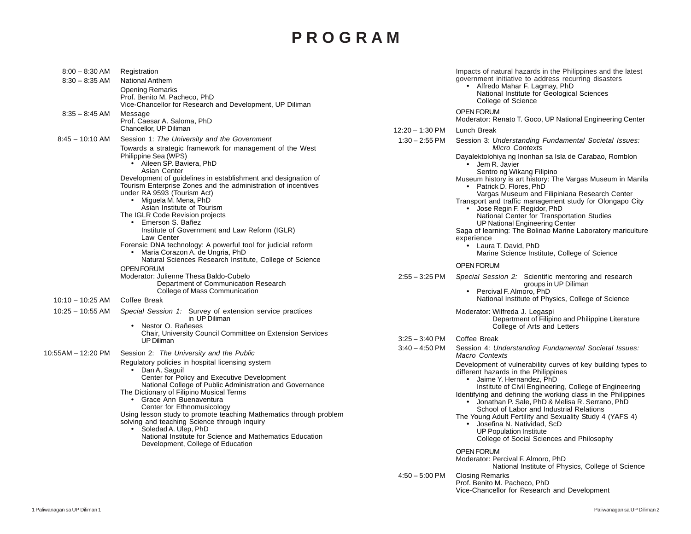# **P R O G R A M**

| $8:00 - 8:30$ AM<br>$8:30 - 8:35$ AM | Registration<br><b>National Anthem</b><br><b>Opening Remarks</b><br>Prof. Benito M. Pacheco, PhD<br>Vice-Chancellor for Research and Development, UP Diliman                                                                                                                                                                                                                                                                                                                                                                                                                     |                   | Impacts of natural hazards in the Philippines and the latest<br>government initiative to address recurring disasters<br>• Alfredo Mahar F. Lagmay, PhD<br>National Institute for Geological Sciences<br>College of Science                                                                                                                                                                                                                                                                                                                                                                         |
|--------------------------------------|----------------------------------------------------------------------------------------------------------------------------------------------------------------------------------------------------------------------------------------------------------------------------------------------------------------------------------------------------------------------------------------------------------------------------------------------------------------------------------------------------------------------------------------------------------------------------------|-------------------|----------------------------------------------------------------------------------------------------------------------------------------------------------------------------------------------------------------------------------------------------------------------------------------------------------------------------------------------------------------------------------------------------------------------------------------------------------------------------------------------------------------------------------------------------------------------------------------------------|
| $8:35 - 8:45$ AM                     | Message<br>Prof. Caesar A. Saloma, PhD                                                                                                                                                                                                                                                                                                                                                                                                                                                                                                                                           |                   | <b>OPEN FORUM</b><br>Moderator: Renato T. Goco, UP National Engineering Center                                                                                                                                                                                                                                                                                                                                                                                                                                                                                                                     |
|                                      | Chancellor, UP Diliman                                                                                                                                                                                                                                                                                                                                                                                                                                                                                                                                                           | $12:20 - 1:30$ PM | Lunch Break                                                                                                                                                                                                                                                                                                                                                                                                                                                                                                                                                                                        |
| $8:45 - 10:10$ AM                    | Session 1: The University and the Government<br>Towards a strategic framework for management of the West                                                                                                                                                                                                                                                                                                                                                                                                                                                                         | $1:30 - 2:55$ PM  | Session 3: Understanding Fundamental Societal Issues:<br>Micro Contexts                                                                                                                                                                                                                                                                                                                                                                                                                                                                                                                            |
|                                      | Philippine Sea (WPS)<br>• Aileen SP. Baviera, PhD<br>Asian Center<br>Development of guidelines in establishment and designation of<br>Tourism Enterprise Zones and the administration of incentives<br>under RA 9593 (Tourism Act)<br>• Miguela M. Mena, PhD<br>Asian Institute of Tourism<br>The IGLR Code Revision projects<br>• Emerson S. Bañez<br>Institute of Government and Law Reform (IGLR)<br>Law Center<br>Forensic DNA technology: A powerful tool for judicial reform<br>Maria Corazon A. de Ungria, PhD<br>Natural Sciences Research Institute, College of Science |                   | Dayalektolohiya ng Inonhan sa Isla de Carabao, Romblon<br>· Jem R. Javier<br>Sentro ng Wikang Filipino<br>Museum history is art history: The Vargas Museum in Manila<br>• Patrick D. Flores, PhD<br>Vargas Museum and Filipiniana Research Center<br>Transport and traffic management study for Olongapo City<br>• Jose Regin F. Regidor, PhD<br>National Center for Transportation Studies<br>UP National Engineering Center<br>Saga of learning: The Bolinao Marine Laboratory mariculture<br>experience<br>• Laura T. David, PhD<br>Marine Science Institute, College of Science                |
|                                      | <b>OPEN FORUM</b>                                                                                                                                                                                                                                                                                                                                                                                                                                                                                                                                                                |                   | OPEN FORUM                                                                                                                                                                                                                                                                                                                                                                                                                                                                                                                                                                                         |
|                                      | Moderator: Julienne Thesa Baldo-Cubelo<br>Department of Communication Research<br>College of Mass Communication                                                                                                                                                                                                                                                                                                                                                                                                                                                                  | $2:55 - 3:25$ PM  | Special Session 2: Scientific mentoring and research<br>groups in UP Diliman<br>• Percival F. Almoro, PhD                                                                                                                                                                                                                                                                                                                                                                                                                                                                                          |
| $10:10 - 10:25$ AM                   | Coffee Break                                                                                                                                                                                                                                                                                                                                                                                                                                                                                                                                                                     |                   | National Institute of Physics, College of Science                                                                                                                                                                                                                                                                                                                                                                                                                                                                                                                                                  |
| $10:25 - 10:55$ AM                   | Special Session 1: Survey of extension service practices<br>in UP Diliman<br>Nestor O. Rañeses<br>Chair, University Council Committee on Extension Services                                                                                                                                                                                                                                                                                                                                                                                                                      |                   | Moderator: Wilfreda J. Legaspi<br>Department of Filipino and Philippine Literature<br>College of Arts and Letters                                                                                                                                                                                                                                                                                                                                                                                                                                                                                  |
|                                      | <b>UP Diliman</b>                                                                                                                                                                                                                                                                                                                                                                                                                                                                                                                                                                | $3:25 - 3:40$ PM  | Coffee Break                                                                                                                                                                                                                                                                                                                                                                                                                                                                                                                                                                                       |
| 10:55AM - 12:20 PM                   | Session 2: The University and the Public                                                                                                                                                                                                                                                                                                                                                                                                                                                                                                                                         | $3:40 - 4:50$ PM  | Session 4: Understanding Fundamental Societal Issues:<br><b>Macro Contexts</b>                                                                                                                                                                                                                                                                                                                                                                                                                                                                                                                     |
|                                      | Regulatory policies in hospital licensing system<br>Dan A. Saguil<br>Center for Policy and Executive Development<br>National College of Public Administration and Governance<br>The Dictionary of Filipino Musical Terms<br>• Grace Ann Buenaventura<br>Center for Ethnomusicology<br>Using lesson study to promote teaching Mathematics through problem<br>solving and teaching Science through inquiry<br>Soledad A. Ulep, PhD<br>National Institute for Science and Mathematics Education<br>Development, College of Education                                                |                   | Development of vulnerability curves of key building types to<br>different hazards in the Philippines<br>• Jaime Y. Hernandez, PhD<br>Institute of Civil Engineering, College of Engineering<br>Identifying and defining the working class in the Philippines<br>• Jonathan P. Sale, PhD & Melisa R. Serrano, PhD<br>School of Labor and Industrial Relations<br>The Young Adult Fertility and Sexuality Study 4 (YAFS 4)<br>• Josefina N. Natividad, ScD<br><b>UP Population Institute</b><br>College of Social Sciences and Philosophy<br><b>OPEN FORUM</b><br>Moderator: Percival F. Almoro, PhD |
|                                      |                                                                                                                                                                                                                                                                                                                                                                                                                                                                                                                                                                                  | $4:50 - 5:00$ PM  | National Institute of Physics, College of Science<br><b>Closing Remarks</b><br>Prof. Benito M. Pacheco, PhD<br>Vice-Chancellor for Research and Development                                                                                                                                                                                                                                                                                                                                                                                                                                        |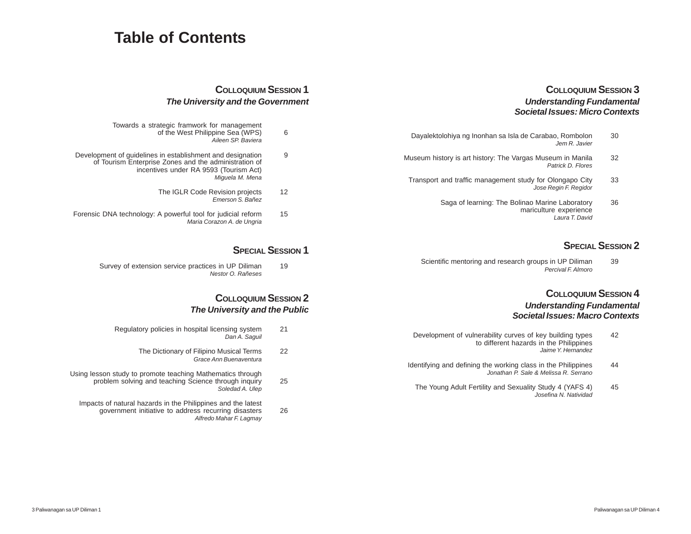# **Table of Contents**

## **COLLOQUIUM SESSION 3** *Understanding Fundamental Societal Issues: Micro Contexts*

- Dayalektolohiya ng Inonhan sa Isla de Carabao, Rombolon 30 *Jem R. Javier*
- Museum history is art history: The Vargas Museum in Manila 32 *Patrick D. Flores*
- Transport and traffic management study for Olongapo City 33 *Jose Regin F. Regidor*
	- Saga of learning: The Bolinao Marine Laboratory 36 mariculture experience *Laura T. David*

## **SPECIAL SESSION 2**

Scientific mentoring and research groups in UP Diliman 39 *Percival F. Almoro*

## **COLLOQUIUM SESSION 4** *Understanding Fundamental Societal Issues: Macro Contexts*

- Development of vulnerability curves of key building types 42 to different hazards in the Philippines *Jaime Y. Hernandez*
- Identifying and defining the working class in the Philippines 44 *Jonathan P. Sale & Melissa R. Serrano*
- The Young Adult Fertility and Sexuality Study 4 (YAFS 4) 45 *Josefina N. Natividad*

## **COLLOQUIUM SESSION 1** *The University and the Government*

- Towards a strategic framwork for management of the West Philippine Sea (WPS) 6 *Aileen SP. Baviera*
- Development of guidelines in establishment and designation 9 of Tourism Enterprise Zones and the administration of incentives under RA 9593 (Tourism Act) *Miguela M. Mena*
	- The IGLR Code Revision projects 12 *Emerson S. Bañez*
- Forensic DNA technology: A powerful tool for judicial reform 15 *Maria Corazon A. de Ungria*

## **SPECIAL SESSION 1**

Survey of extension service practices in UP Diliman 19 *Nestor O. Rañeses*

## **COLLOQUIUM SESSION 2** *The University and the Public*

- Regulatory policies in hospital licensing system 21 *Dan A. Saguil*
	- The Dictionary of Filipino Musical Terms 22 *Grace Ann Buenaventura*

Using lesson study to promote teaching Mathematics through problem solving and teaching Science through inquiry 25 *Soledad A. Ulep*

Impacts of natural hazards in the Philippines and the latest government initiative to address recurring disasters 26 *Alfredo Mahar F. Lagmay*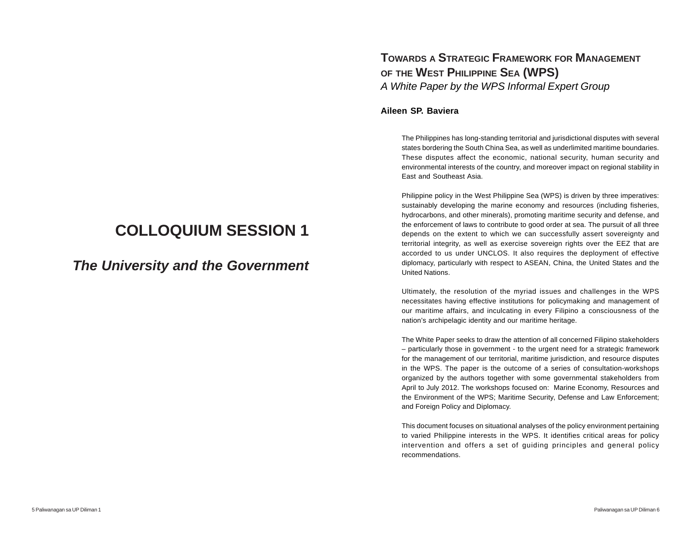# **COLLOQUIUM SESSION 1**

*The University and the Government*

# **TOWARDS A STRATEGIC FRAMEWORK FOR MANAGEMENT OF THE WEST PHILIPPINE SEA (WPS)** *A White Paper by the WPS Informal Expert Group*

## **Aileen SP. Baviera**

The Philippines has long-standing territorial and jurisdictional disputes with several states bordering the South China Sea, as well as underlimited maritime boundaries. These disputes affect the economic, national security, human security and environmental interests of the country, and moreover impact on regional stability in East and Southeast Asia.

Philippine policy in the West Philippine Sea (WPS) is driven by three imperatives: sustainably developing the marine economy and resources (including fisheries, hydrocarbons, and other minerals), promoting maritime security and defense, and the enforcement of laws to contribute to good order at sea. The pursuit of all three depends on the extent to which we can successfully assert sovereignty and territorial integrity, as well as exercise sovereign rights over the EEZ that are accorded to us under UNCLOS. It also requires the deployment of effective diplomacy, particularly with respect to ASEAN, China, the United States and the United Nations.

Ultimately, the resolution of the myriad issues and challenges in the WPS necessitates having effective institutions for policymaking and management of our maritime affairs, and inculcating in every Filipino a consciousness of the nation's archipelagic identity and our maritime heritage.

The White Paper seeks to draw the attention of all concerned Filipino stakeholders – particularly those in government - to the urgent need for a strategic framework for the management of our territorial, maritime jurisdiction, and resource disputes in the WPS. The paper is the outcome of a series of consultation-workshops organized by the authors together with some governmental stakeholders from April to July 2012. The workshops focused on: Marine Economy, Resources and the Environment of the WPS; Maritime Security, Defense and Law Enforcement; and Foreign Policy and Diplomacy.

This document focuses on situational analyses of the policy environment pertaining to varied Philippine interests in the WPS. It identifies critical areas for policy intervention and offers a set of guiding principles and general policy recommendations.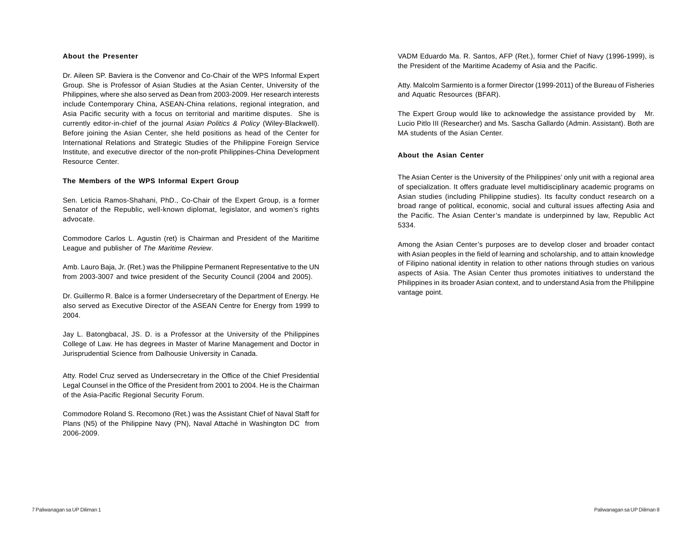#### **About the Presenter**

Dr. Aileen SP. Baviera is the Convenor and Co-Chair of the WPS Informal Expert Group. She is Professor of Asian Studies at the Asian Center, University of the Philippines, where she also served as Dean from 2003-2009. Her research interests include Contemporary China, ASEAN-China relations, regional integration, and Asia Pacific security with a focus on territorial and maritime disputes. She is currently editor-in-chief of the journal *Asian Politics & Policy* (Wiley-Blackwell). Before joining the Asian Center, she held positions as head of the Center for International Relations and Strategic Studies of the Philippine Foreign Service Institute, and executive director of the non-profit Philippines-China Development Resource Center.

#### **The Members of the WPS Informal Expert Group**

Sen. Leticia Ramos-Shahani, PhD., Co-Chair of the Expert Group, is a former Senator of the Republic, well-known diplomat, legislator, and women's rights advocate.

Commodore Carlos L. Agustin (ret) is Chairman and President of the Maritime League and publisher of *The Maritime Review*.

Amb. Lauro Baja, Jr. (Ret.) was the Philippine Permanent Representative to the UN from 2003-3007 and twice president of the Security Council (2004 and 2005).

Dr. Guillermo R. Balce is a former Undersecretary of the Department of Energy. He also served as Executive Director of the ASEAN Centre for Energy from 1999 to 2004.

Jay L. Batongbacal, JS. D. is a Professor at the University of the Philippines College of Law. He has degrees in Master of Marine Management and Doctor in Jurisprudential Science from Dalhousie University in Canada.

Atty. Rodel Cruz served as Undersecretary in the Office of the Chief Presidential Legal Counsel in the Office of the President from 2001 to 2004. He is the Chairman of the Asia-Pacific Regional Security Forum.

Commodore Roland S. Recomono (Ret.) was the Assistant Chief of Naval Staff for Plans (N5) of the Philippine Navy (PN), Naval Attaché in Washington DC from 2006-2009.

VADM Eduardo Ma. R. Santos, AFP (Ret.), former Chief of Navy (1996-1999), is the President of the Maritime Academy of Asia and the Pacific.

Atty. Malcolm Sarmiento is a former Director (1999-2011) of the Bureau of Fisheries and Aquatic Resources (BFAR).

The Expert Group would like to acknowledge the assistance provided by Mr. Lucio Pitlo III (Researcher) and Ms. Sascha Gallardo (Admin. Assistant). Both are MA students of the Asian Center.

#### **About the Asian Center**

The Asian Center is the University of the Philippines' only unit with a regional area of specialization. It offers graduate level multidisciplinary academic programs on Asian studies (including Philippine studies). Its faculty conduct research on a broad range of political, economic, social and cultural issues affecting Asia and the Pacific. The Asian Center's mandate is underpinned by law, Republic Act 5334.

Among the Asian Center's purposes are to develop closer and broader contact with Asian peoples in the field of learning and scholarship, and to attain knowledge of Filipino national identity in relation to other nations through studies on various aspects of Asia. The Asian Center thus promotes initiatives to understand the Philippines in its broader Asian context, and to understand Asia from the Philippine vantage point.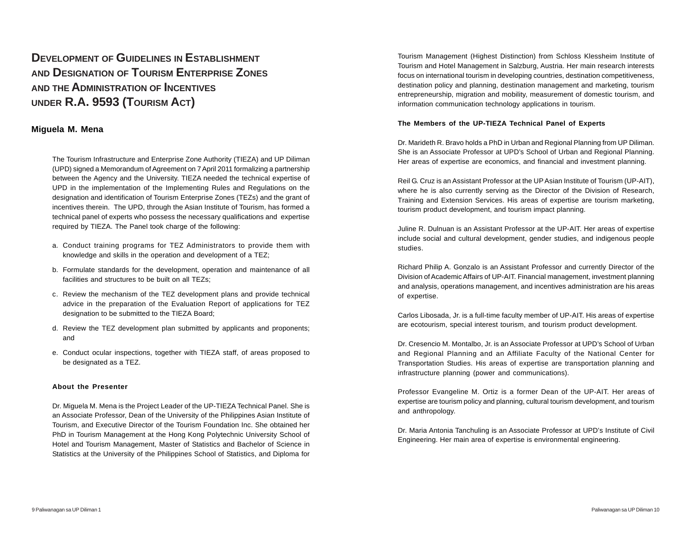# **DEVELOPMENT OF GUIDELINES IN ESTABLISHMENT AND DESIGNATION OF TOURISM ENTERPRISE ZONES AND THE ADMINISTRATION OF INCENTIVES UNDER R.A. 9593 (TOURISM ACT)**

## **Miguela M. Mena**

The Tourism Infrastructure and Enterprise Zone Authority (TIEZA) and UP Diliman (UPD) signed a Memorandum of Agreement on 7 April 2011 formalizing a partnership between the Agency and the University. TIEZA needed the technical expertise of UPD in the implementation of the Implementing Rules and Regulations on the designation and identification of Tourism Enterprise Zones (TEZs) and the grant of incentives therein. The UPD, through the Asian Institute of Tourism, has formed a technical panel of experts who possess the necessary qualifications and expertise required by TIEZA. The Panel took charge of the following:

- a. Conduct training programs for TEZ Administrators to provide them with knowledge and skills in the operation and development of a TEZ;
- b. Formulate standards for the development, operation and maintenance of all facilities and structures to be built on all TEZs;
- c. Review the mechanism of the TEZ development plans and provide technical advice in the preparation of the Evaluation Report of applications for TEZ designation to be submitted to the TIEZA Board;
- d. Review the TEZ development plan submitted by applicants and proponents; and
- e. Conduct ocular inspections, together with TIEZA staff, of areas proposed to be designated as a TEZ.

#### **About the Presenter**

Dr. Miguela M. Mena is the Project Leader of the UP-TIEZA Technical Panel. She is an Associate Professor, Dean of the University of the Philippines Asian Institute of Tourism, and Executive Director of the Tourism Foundation Inc. She obtained her PhD in Tourism Management at the Hong Kong Polytechnic University School of Hotel and Tourism Management, Master of Statistics and Bachelor of Science in Statistics at the University of the Philippines School of Statistics, and Diploma for

Tourism Management (Highest Distinction) from Schloss Klessheim Institute of Tourism and Hotel Management in Salzburg, Austria. Her main research interests focus on international tourism in developing countries, destination competitiveness, destination policy and planning, destination management and marketing, tourism entrepreneurship, migration and mobility, measurement of domestic tourism, and information communication technology applications in tourism.

#### **The Members of the UP-TIEZA Technical Panel of Experts**

Dr. Marideth R. Bravo holds a PhD in Urban and Regional Planning from UP Diliman. She is an Associate Professor at UPD's School of Urban and Regional Planning. Her areas of expertise are economics, and financial and investment planning.

Reil G. Cruz is an Assistant Professor at the UP Asian Institute of Tourism (UP-AIT), where he is also currently serving as the Director of the Division of Research, Training and Extension Services. His areas of expertise are tourism marketing, tourism product development, and tourism impact planning.

Juline R. Dulnuan is an Assistant Professor at the UP-AIT. Her areas of expertise include social and cultural development, gender studies, and indigenous people studies.

Richard Philip A. Gonzalo is an Assistant Professor and currently Director of the Division of Academic Affairs of UP-AIT. Financial management, investment planning and analysis, operations management, and incentives administration are his areas of expertise.

Carlos Libosada, Jr. is a full-time faculty member of UP-AIT. His areas of expertise are ecotourism, special interest tourism, and tourism product development.

Dr. Cresencio M. Montalbo, Jr. is an Associate Professor at UPD's School of Urban and Regional Planning and an Affiliate Faculty of the National Center for Transportation Studies. His areas of expertise are transportation planning and infrastructure planning (power and communications).

Professor Evangeline M. Ortiz is a former Dean of the UP-AIT. Her areas of expertise are tourism policy and planning, cultural tourism development, and tourism and anthropology.

Dr. Maria Antonia Tanchuling is an Associate Professor at UPD's Institute of Civil Engineering. Her main area of expertise is environmental engineering.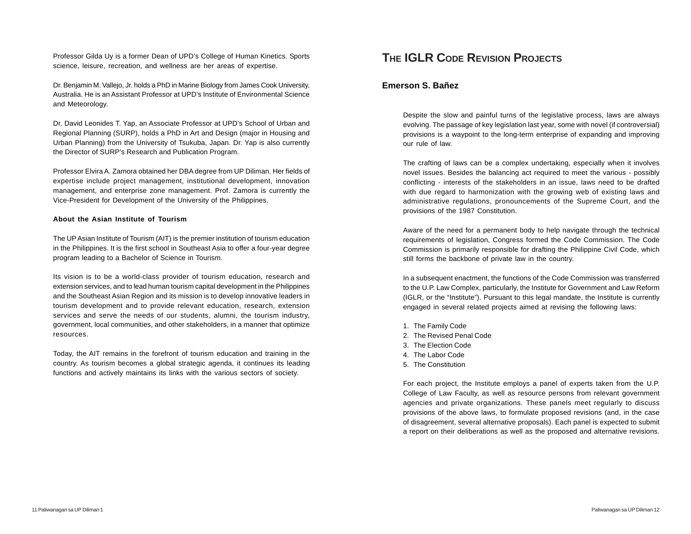Professor Gilda Uy is a former Dean of UPD's College of Human Kinetics. Sports science, leisure, recreation, and wellness are her areas of expertise.

Dr. Benjamin M. Vallejo, Jr. holds a PhD in Marine Biology from James Cook University, Australia. He is an Assistant Professor at UPD's Institute of Environmental Science and Meteorology.

Dr. David Leonides T. Yap, an Associate Professor at UPD's School of Urban and Regional Planning (SURP), holds a PhD in Art and Design (major in Housing and Urban Planning) from the University of Tsukuba, Japan. Dr. Yap is also currently the Director of SURP's Research and Publication Program.

Professor Elvira A. Zamora obtained her DBA degree from UP Diliman. Her fields of expertise include project management, institutional development, innovation management, and enterprise zone management. Prof. Zamora is currently the Vice-President for Development of the University of the Philippines.

#### **About the Asian Institute of Tourism**

The UP Asian Institute of Tourism (AIT) is the premier institution of tourism education in the Philippines. It is the first school in Southeast Asia to offer a four-year degree program leading to a Bachelor of Science in Tourism.

Its vision is to be a world-class provider of tourism education, research and extension services, and to lead human tourism capital development in the Philippines and the Southeast Asian Region and its mission is to develop innovative leaders in tourism development and to provide relevant education, research, extension services and serve the needs of our students, alumni, the tourism industry, government, local communities, and other stakeholders, in a manner that optimize resources.

Today, the AIT remains in the forefront of tourism education and training in the country. As tourism becomes a global strategic agenda, it continues its leading functions and actively maintains its links with the various sectors of society.

## **THE IGLR CODE REVISION PROJECTS**

## **Emerson S. Bañez**

Despite the slow and painful turns of the legislative process, laws are always evolving. The passage of key legislation last year, some with novel (if controversial) provisions is a waypoint to the long-term enterprise of expanding and improving our rule of law.

The crafting of laws can be a complex undertaking, especially when it involves novel issues. Besides the balancing act required to meet the various - possibly conflicting - interests of the stakeholders in an issue, laws need to be drafted with due regard to harmonization with the growing web of existing laws and administrative regulations, pronouncements of the Supreme Court, and the provisions of the 1987 Constitution.

Aware of the need for a permanent body to help navigate through the technical requirements of legislation, Congress formed the Code Commission. The Code Commission is primarily responsible for drafting the Philippine Civil Code, which still forms the backbone of private law in the country.

In a subsequent enactment, the functions of the Code Commission was transferred to the U.P. Law Complex, particularly, the Institute for Government and Law Reform (IGLR, or the "Institute"). Pursuant to this legal mandate, the Institute is currently engaged in several related projects aimed at revising the following laws:

- 1. The Family Code
- 2. The Revised Penal Code
- 3. The Election Code
- 4. The Labor Code
- 5. The Constitution

For each project, the Institute employs a panel of experts taken from the U.P. College of Law Faculty, as well as resource persons from relevant government agencies and private organizations. These panels meet regularly to discuss provisions of the above laws, to formulate proposed revisions (and, in the case of disagreement, several alternative proposals). Each panel is expected to submit a report on their deliberations as well as the proposed and alternative revisions.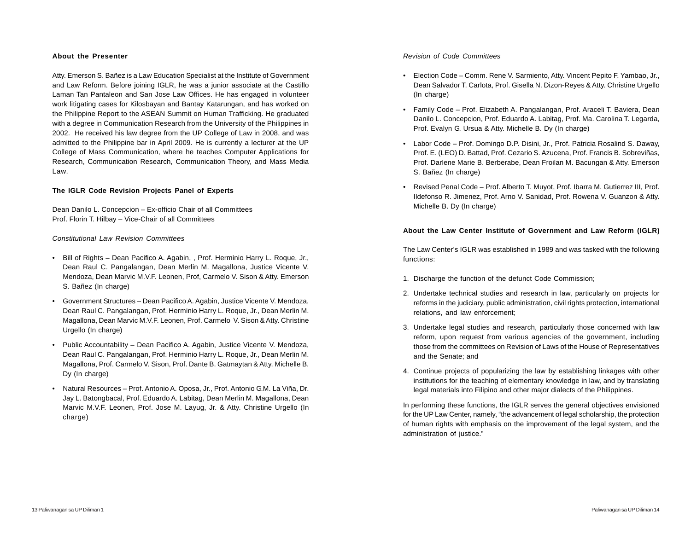#### **About the Presenter**

Atty. Emerson S. Bañez is a Law Education Specialist at the Institute of Government and Law Reform. Before joining IGLR, he was a junior associate at the Castillo Laman Tan Pantaleon and San Jose Law Offices. He has engaged in volunteer work litigating cases for Kilosbayan and Bantay Katarungan, and has worked on the Philippine Report to the ASEAN Summit on Human Trafficking. He graduated with a degree in Communication Research from the University of the Philippines in 2002. He received his law degree from the UP College of Law in 2008, and was admitted to the Philippine bar in April 2009. He is currently a lecturer at the UP College of Mass Communication, where he teaches Computer Applications for Research, Communication Research, Communication Theory, and Mass Media Law.

#### **The IGLR Code Revision Projects Panel of Experts**

Dean Danilo L. Concepcion – Ex-officio Chair of all Committees Prof. Florin T. Hilbay – Vice-Chair of all Committees

*Constitutional Law Revision Committees*

- Bill of Rights Dean Pacifico A. Agabin, , Prof. Herminio Harry L. Roque, Jr., Dean Raul C. Pangalangan, Dean Merlin M. Magallona, Justice Vicente V. Mendoza, Dean Marvic M.V.F. Leonen, Prof, Carmelo V. Sison & Atty. Emerson S. Bañez (In charge)
- Government Structures Dean Pacifico A. Agabin, Justice Vicente V. Mendoza, Dean Raul C. Pangalangan, Prof. Herminio Harry L. Roque, Jr., Dean Merlin M. Magallona, Dean Marvic M.V.F. Leonen, Prof. Carmelo V. Sison & Atty. Christine Urgello (In charge)
- Public Accountability Dean Pacifico A. Agabin, Justice Vicente V. Mendoza, Dean Raul C. Pangalangan, Prof. Herminio Harry L. Roque, Jr., Dean Merlin M. Magallona, Prof. Carmelo V. Sison, Prof. Dante B. Gatmaytan & Atty. Michelle B. Dy (In charge)
- Natural Resources Prof. Antonio A. Oposa, Jr., Prof. Antonio G.M. La Viña, Dr. Jay L. Batongbacal, Prof. Eduardo A. Labitag, Dean Merlin M. Magallona, Dean Marvic M.V.F. Leonen, Prof. Jose M. Layug, Jr. & Atty. Christine Urgello (In charge)

*Revision of Code Committees*

- Election Code Comm. Rene V. Sarmiento, Atty. Vincent Pepito F. Yambao, Jr., Dean Salvador T. Carlota, Prof. Gisella N. Dizon-Reyes & Atty. Christine Urgello (In charge)
- Family Code Prof. Elizabeth A. Pangalangan, Prof. Araceli T. Baviera, Dean Danilo L. Concepcion, Prof. Eduardo A. Labitag, Prof. Ma. Carolina T. Legarda, Prof. Evalyn G. Ursua & Atty. Michelle B. Dy (In charge)
- Labor Code Prof. Domingo D.P. Disini, Jr., Prof. Patricia Rosalind S. Daway, Prof. E. (LEO) D. Battad, Prof. Cezario S. Azucena, Prof. Francis B. Sobreviñas, Prof. Darlene Marie B. Berberabe, Dean Froilan M. Bacungan & Atty. Emerson S. Bañez (In charge)
- Revised Penal Code Prof. Alberto T. Muyot, Prof. Ibarra M. Gutierrez III, Prof. Ildefonso R. Jimenez, Prof. Arno V. Sanidad, Prof. Rowena V. Guanzon & Atty. Michelle B. Dy (In charge)

#### **About the Law Center Institute of Government and Law Reform (IGLR)**

The Law Center's IGLR was established in 1989 and was tasked with the following functions:

- 1. Discharge the function of the defunct Code Commission;
- 2. Undertake technical studies and research in law, particularly on projects for reforms in the judiciary, public administration, civil rights protection, international relations, and law enforcement;
- 3. Undertake legal studies and research, particularly those concerned with law reform, upon request from various agencies of the government, including those from the committees on Revision of Laws of the House of Representatives and the Senate; and
- 4. Continue projects of popularizing the law by establishing linkages with other institutions for the teaching of elementary knowledge in law, and by translating legal materials into Filipino and other major dialects of the Philippines.

In performing these functions, the IGLR serves the general objectives envisioned for the UP Law Center, namely, "the advancement of legal scholarship, the protection of human rights with emphasis on the improvement of the legal system, and the administration of justice."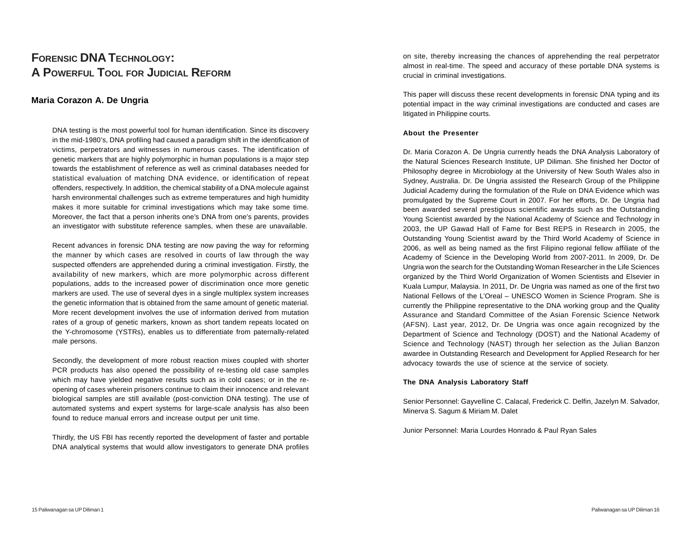# **FORENSIC DNA TECHNOLOGY: A POWERFUL TOOL FOR JUDICIAL REFORM**

## **Maria Corazon A. De Ungria**

DNA testing is the most powerful tool for human identification. Since its discovery in the mid-1980's, DNA profiling had caused a paradigm shift in the identification of victims, perpetrators and witnesses in numerous cases. The identification of genetic markers that are highly polymorphic in human populations is a major step towards the establishment of reference as well as criminal databases needed for statistical evaluation of matching DNA evidence, or identification of repeat offenders, respectively. In addition, the chemical stability of a DNA molecule against harsh environmental challenges such as extreme temperatures and high humidity makes it more suitable for criminal investigations which may take some time. Moreover, the fact that a person inherits one's DNA from one's parents, provides an investigator with substitute reference samples, when these are unavailable.

Recent advances in forensic DNA testing are now paving the way for reforming the manner by which cases are resolved in courts of law through the way suspected offenders are apprehended during a criminal investigation. Firstly, the availability of new markers, which are more polymorphic across different populations, adds to the increased power of discrimination once more genetic markers are used. The use of several dyes in a single multiplex system increases the genetic information that is obtained from the same amount of genetic material. More recent development involves the use of information derived from mutation rates of a group of genetic markers, known as short tandem repeats located on the Y-chromosome (YSTRs), enables us to differentiate from paternally-related male persons.

Secondly, the development of more robust reaction mixes coupled with shorter PCR products has also opened the possibility of re-testing old case samples which may have yielded negative results such as in cold cases; or in the reopening of cases wherein prisoners continue to claim their innocence and relevant biological samples are still available (post-conviction DNA testing). The use of automated systems and expert systems for large-scale analysis has also been found to reduce manual errors and increase output per unit time.

Thirdly, the US FBI has recently reported the development of faster and portable DNA analytical systems that would allow investigators to generate DNA profiles

on site, thereby increasing the chances of apprehending the real perpetrator almost in real-time. The speed and accuracy of these portable DNA systems is crucial in criminal investigations.

This paper will discuss these recent developments in forensic DNA typing and its potential impact in the way criminal investigations are conducted and cases are litigated in Philippine courts.

#### **About the Presenter**

Dr. Maria Corazon A. De Ungria currently heads the DNA Analysis Laboratory of the Natural Sciences Research Institute, UP Diliman. She finished her Doctor of Philosophy degree in Microbiology at the University of New South Wales also in Sydney, Australia. Dr. De Ungria assisted the Research Group of the Philippine Judicial Academy during the formulation of the Rule on DNA Evidence which was promulgated by the Supreme Court in 2007. For her efforts, Dr. De Ungria had been awarded several prestigious scientific awards such as the Outstanding Young Scientist awarded by the National Academy of Science and Technology in 2003, the UP Gawad Hall of Fame for Best REPS in Research in 2005, the Outstanding Young Scientist award by the Third World Academy of Science in 2006, as well as being named as the first Filipino regional fellow affiliate of the Academy of Science in the Developing World from 2007-2011. In 2009, Dr. De Ungria won the search for the Outstanding Woman Researcher in the Life Sciences organized by the Third World Organization of Women Scientists and Elsevier in Kuala Lumpur, Malaysia. In 2011, Dr. De Ungria was named as one of the first two National Fellows of the L'Oreal – UNESCO Women in Science Program. She is currently the Philippine representative to the DNA working group and the Quality Assurance and Standard Committee of the Asian Forensic Science Network (AFSN). Last year, 2012, Dr. De Ungria was once again recognized by the Department of Science and Technology (DOST) and the National Academy of Science and Technology (NAST) through her selection as the Julian Banzon awardee in Outstanding Research and Development for Applied Research for her advocacy towards the use of science at the service of society.

#### **The DNA Analysis Laboratory Staff**

Senior Personnel: Gayvelline C. Calacal, Frederick C. Delfin, Jazelyn M. Salvador, Minerva S. Sagum & Miriam M. Dalet

Junior Personnel: Maria Lourdes Honrado & Paul Ryan Sales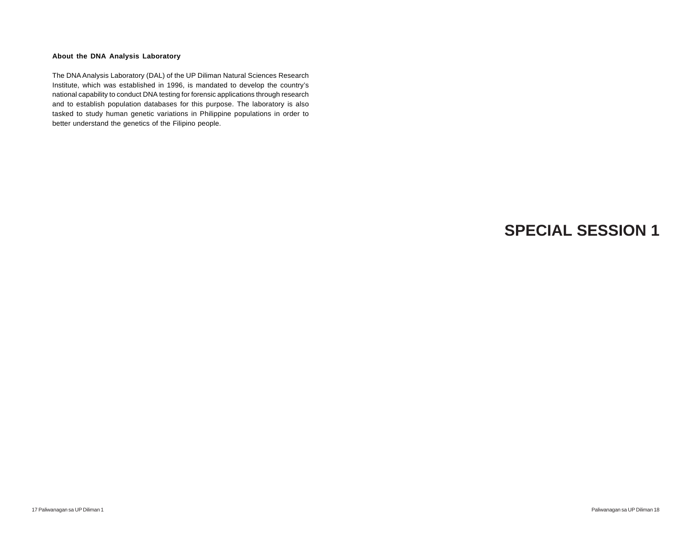#### **About the DNA Analysis Laboratory**

The DNA Analysis Laboratory (DAL) of the UP Diliman Natural Sciences Research Institute, which was established in 1996, is mandated to develop the country's national capability to conduct DNA testing for forensic applications through research and to establish population databases for this purpose. The laboratory is also tasked to study human genetic variations in Philippine populations in order to better understand the genetics of the Filipino people.

# **SPECIAL SESSION 1**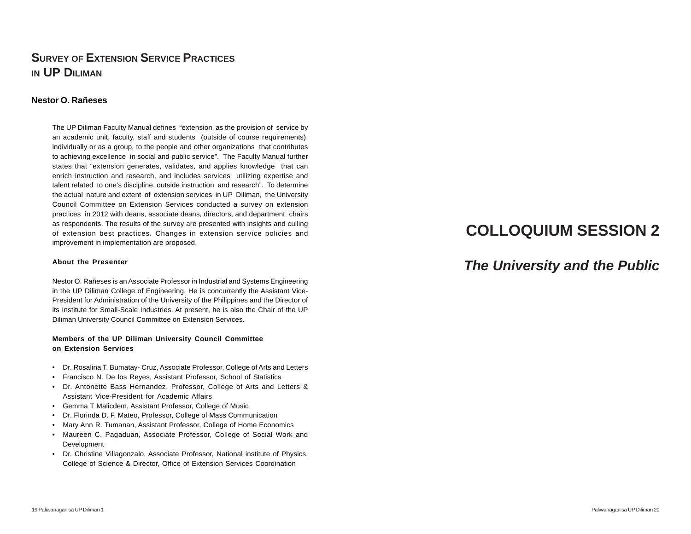# **SURVEY OF EXTENSION SERVICE PRACTICES IN UP DILIMAN**

#### **Nestor O. Rañeses**

The UP Diliman Faculty Manual defines "extension as the provision of service by an academic unit, faculty, staff and students (outside of course requirements), individually or as a group, to the people and other organizations that contributes to achieving excellence in social and public service". The Faculty Manual further states that "extension generates, validates, and applies knowledge that can enrich instruction and research, and includes services utilizing expertise and talent related to one's discipline, outside instruction and research". To determine the actual nature and extent of extension services in UP Diliman, the University Council Committee on Extension Services conducted a survey on extension practices in 2012 with deans, associate deans, directors, and department chairs as respondents. The results of the survey are presented with insights and culling of extension best practices. Changes in extension service policies and improvement in implementation are proposed.

#### **About the Presenter**

Nestor O. Rañeses is an Associate Professor in Industrial and Systems Engineering in the UP Diliman College of Engineering. He is concurrently the Assistant Vice-President for Administration of the University of the Philippines and the Director of its Institute for Small-Scale Industries. At present, he is also the Chair of the UP Diliman University Council Committee on Extension Services.

#### **Members of the UP Diliman University Council Committee on Extension Services**

- Dr. Rosalina T. Bumatay- Cruz, Associate Professor, College of Arts and Letters
- Francisco N. De los Reyes, Assistant Professor, School of Statistics
- Dr. Antonette Bass Hernandez, Professor, College of Arts and Letters & Assistant Vice-President for Academic Affairs
- Gemma T Malicdem, Assistant Professor, College of Music
- Dr. Florinda D. F. Mateo, Professor, College of Mass Communication
- Mary Ann R. Tumanan, Assistant Professor, College of Home Economics
- Maureen C. Pagaduan, Associate Professor, College of Social Work and Development
- Dr. Christine Villagonzalo, Associate Professor, National institute of Physics, College of Science & Director, Office of Extension Services Coordination

# **COLLOQUIUM SESSION 2**

# *The University and the Public*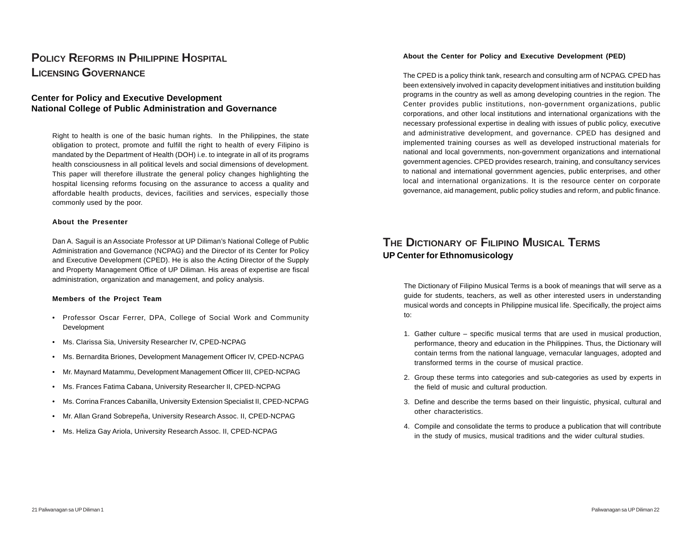# **POLICY REFORMS IN PHILIPPINE HOSPITAL LICENSING GOVERNANCE**

## **Center for Policy and Executive Development National College of Public Administration and Governance**

Right to health is one of the basic human rights. In the Philippines, the state obligation to protect, promote and fulfill the right to health of every Filipino is mandated by the Department of Health (DOH) i.e. to integrate in all of its programs health consciousness in all political levels and social dimensions of development. This paper will therefore illustrate the general policy changes highlighting the hospital licensing reforms focusing on the assurance to access a quality and affordable health products, devices, facilities and services, especially those commonly used by the poor.

#### **About the Presenter**

Dan A. Saguil is an Associate Professor at UP Diliman's National College of Public Administration and Governance (NCPAG) and the Director of its Center for Policy and Executive Development (CPED). He is also the Acting Director of the Supply and Property Management Office of UP Diliman. His areas of expertise are fiscal administration, organization and management, and policy analysis.

#### **Members of the Project Team**

- Professor Oscar Ferrer, DPA, College of Social Work and Community Development
- Ms. Clarissa Sia, University Researcher IV, CPED-NCPAG
- Ms. Bernardita Briones, Development Management Officer IV, CPED-NCPAG
- Mr. Maynard Matammu, Development Management Officer III, CPED-NCPAG
- Ms. Frances Fatima Cabana, University Researcher II, CPED-NCPAG
- Ms. Corrina Frances Cabanilla, University Extension Specialist II, CPED-NCPAG
- Mr. Allan Grand Sobrepeña, University Research Assoc. II, CPED-NCPAG
- Ms. Heliza Gay Ariola, University Research Assoc. II, CPED-NCPAG

#### **About the Center for Policy and Executive Development (PED)**

The CPED is a policy think tank, research and consulting arm of NCPAG. CPED has been extensively involved in capacity development initiatives and institution building programs in the country as well as among developing countries in the region. The Center provides public institutions, non-government organizations, public corporations, and other local institutions and international organizations with the necessary professional expertise in dealing with issues of public policy, executive and administrative development, and governance. CPED has designed and implemented training courses as well as developed instructional materials for national and local governments, non-government organizations and international government agencies. CPED provides research, training, and consultancy services to national and international government agencies, public enterprises, and other local and international organizations. It is the resource center on corporate governance, aid management, public policy studies and reform, and public finance.

## **THE DICTIONARY OF FILIPINO MUSICAL TERMS UP Center for Ethnomusicology**

The Dictionary of Filipino Musical Terms is a book of meanings that will serve as a guide for students, teachers, as well as other interested users in understanding musical words and concepts in Philippine musical life. Specifically, the project aims to:

- 1. Gather culture specific musical terms that are used in musical production, performance, theory and education in the Philippines. Thus, the Dictionary will contain terms from the national language, vernacular languages, adopted and transformed terms in the course of musical practice.
- 2. Group these terms into categories and sub-categories as used by experts in the field of music and cultural production.
- 3. Define and describe the terms based on their linguistic, physical, cultural and other characteristics.
- 4. Compile and consolidate the terms to produce a publication that will contribute in the study of musics, musical traditions and the wider cultural studies.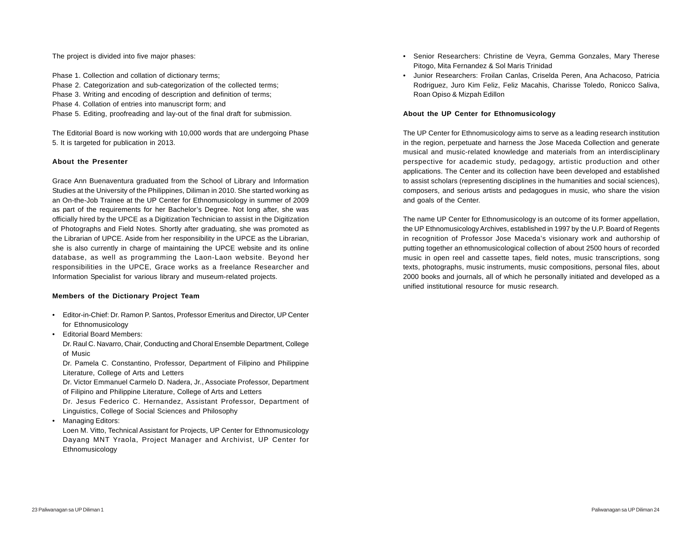The project is divided into five major phases:

Phase 1. Collection and collation of dictionary terms; Phase 2. Categorization and sub-categorization of the collected terms; Phase 3. Writing and encoding of description and definition of terms; Phase 4. Collation of entries into manuscript form; and Phase 5. Editing, proofreading and lay-out of the final draft for submission.

The Editorial Board is now working with 10,000 words that are undergoing Phase 5. It is targeted for publication in 2013.

#### **About the Presenter**

Grace Ann Buenaventura graduated from the School of Library and Information Studies at the University of the Philippines, Diliman in 2010. She started working as an On-the-Job Trainee at the UP Center for Ethnomusicology in summer of 2009 as part of the requirements for her Bachelor's Degree. Not long after, she was officially hired by the UPCE as a Digitization Technician to assist in the Digitization of Photographs and Field Notes. Shortly after graduating, she was promoted as the Librarian of UPCE. Aside from her responsibility in the UPCE as the Librarian, she is also currently in charge of maintaining the UPCE website and its online database, as well as programming the Laon-Laon website. Beyond her responsibilities in the UPCE, Grace works as a freelance Researcher and Information Specialist for various library and museum-related projects.

#### **Members of the Dictionary Project Team**

- Editor-in-Chief: Dr. Ramon P. Santos, Professor Emeritus and Director, UP Center for Ethnomusicology
- Editorial Board Members:

Dr. Raul C. Navarro, Chair, Conducting and Choral Ensemble Department, College of Music

Dr. Pamela C. Constantino, Professor, Department of Filipino and Philippine Literature, College of Arts and Letters

Dr. Victor Emmanuel Carmelo D. Nadera, Jr., Associate Professor, Department of Filipino and Philippine Literature, College of Arts and Letters

Dr. Jesus Federico C. Hernandez, Assistant Professor, Department of Linguistics, College of Social Sciences and Philosophy

• Managing Editors:

Loen M. Vitto, Technical Assistant for Projects, UP Center for Ethnomusicology Dayang MNT Yraola, Project Manager and Archivist, UP Center for Ethnomusicology

- Senior Researchers: Christine de Veyra, Gemma Gonzales, Mary Therese Pitogo, Mita Fernandez & Sol Maris Trinidad
- Junior Researchers: Froilan Canlas, Criselda Peren, Ana Achacoso, Patricia Rodriguez, Juro Kim Feliz, Feliz Macahis, Charisse Toledo, Ronicco Saliva, Roan Opiso & Mizpah Edillon

#### **About the UP Center for Ethnomusicology**

The UP Center for Ethnomusicology aims to serve as a leading research institution in the region, perpetuate and harness the Jose Maceda Collection and generate musical and music-related knowledge and materials from an interdisciplinary perspective for academic study, pedagogy, artistic production and other applications. The Center and its collection have been developed and established to assist scholars (representing disciplines in the humanities and social sciences), composers, and serious artists and pedagogues in music, who share the vision and goals of the Center.

The name UP Center for Ethnomusicology is an outcome of its former appellation, the UP Ethnomusicology Archives, established in 1997 by the U.P. Board of Regents in recognition of Professor Jose Maceda's visionary work and authorship of putting together an ethnomusicological collection of about 2500 hours of recorded music in open reel and cassette tapes, field notes, music transcriptions, song texts, photographs, music instruments, music compositions, personal files, about 2000 books and journals, all of which he personally initiated and developed as a unified institutional resource for music research.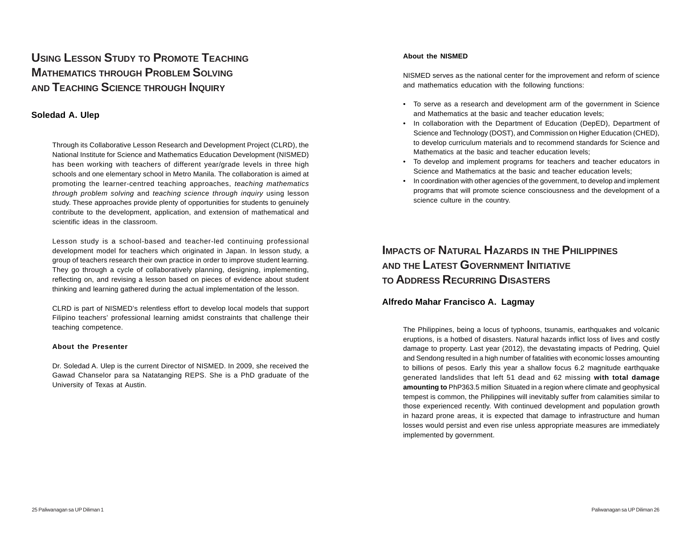# **USING LESSON STUDY TO PROMOTE TEACHING MATHEMATICS THROUGH PROBLEM SOLVING AND TEACHING SCIENCE THROUGH INQUIRY**

## **Soledad A. Ulep**

Through its Collaborative Lesson Research and Development Project (CLRD), the National Institute for Science and Mathematics Education Development (NISMED) has been working with teachers of different year/grade levels in three high schools and one elementary school in Metro Manila. The collaboration is aimed at promoting the learner-centred teaching approaches, *teaching mathematics through problem solving* and *teaching science through inquiry* using lesson study. These approaches provide plenty of opportunities for students to genuinely contribute to the development, application, and extension of mathematical and scientific ideas in the classroom.

Lesson study is a school-based and teacher-led continuing professional development model for teachers which originated in Japan. In lesson study, a group of teachers research their own practice in order to improve student learning. They go through a cycle of collaboratively planning, designing, implementing, reflecting on, and revising a lesson based on pieces of evidence about student thinking and learning gathered during the actual implementation of the lesson.

CLRD is part of NISMED's relentless effort to develop local models that support Filipino teachers' professional learning amidst constraints that challenge their teaching competence.

#### **About the Presenter**

Dr. Soledad A. Ulep is the current Director of NISMED. In 2009, she received the Gawad Chanselor para sa Natatanging REPS. She is a PhD graduate of the University of Texas at Austin.

#### **About the NISMED**

NISMED serves as the national center for the improvement and reform of science and mathematics education with the following functions:

- To serve as a research and development arm of the government in Science and Mathematics at the basic and teacher education levels;
- In collaboration with the Department of Education (DepED), Department of Science and Technology (DOST), and Commission on Higher Education (CHED), to develop curriculum materials and to recommend standards for Science and Mathematics at the basic and teacher education levels;
- To develop and implement programs for teachers and teacher educators in Science and Mathematics at the basic and teacher education levels;
- In coordination with other agencies of the government, to develop and implement programs that will promote science consciousness and the development of a science culture in the country.

# **IMPACTS OF NATURAL HAZARDS IN THE PHILIPPINES AND THE LATEST GOVERNMENT INITIATIVE TO ADDRESS RECURRING DISASTERS**

## **Alfredo Mahar Francisco A. Lagmay**

The Philippines, being a locus of typhoons, tsunamis, earthquakes and volcanic eruptions, is a hotbed of disasters. Natural hazards inflict loss of lives and costly damage to property. Last year (2012), the devastating impacts of Pedring, Quiel and Sendong resulted in a high number of fatalities with economic losses amounting to billions of pesos. Early this year a shallow focus 6.2 magnitude earthquake generated landslides that left 51 dead and 62 missing **with total damage amounting to** PhP363.5 million Situated in a region where climate and geophysical tempest is common, the Philippines will inevitably suffer from calamities similar to those experienced recently. With continued development and population growth in hazard prone areas, it is expected that damage to infrastructure and human losses would persist and even rise unless appropriate measures are immediately implemented by government.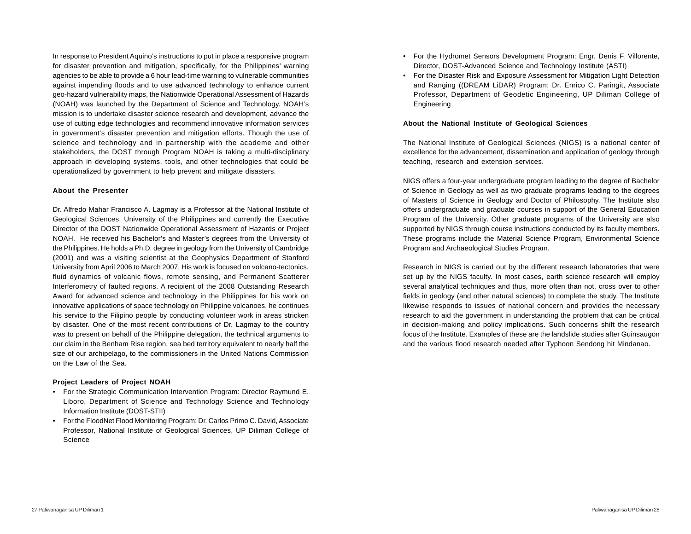In response to President Aquino's instructions to put in place a responsive program for disaster prevention and mitigation, specifically, for the Philippines' warning agencies to be able to provide a 6 hour lead-time warning to vulnerable communities against impending floods and to use advanced technology to enhance current geo-hazard vulnerability maps, the Nationwide Operational Assessment of Hazards (NOAH) was launched by the Department of Science and Technology. NOAH's mission is to undertake disaster science research and development, advance the use of cutting edge technologies and recommend innovative information services in government's disaster prevention and mitigation efforts. Though the use of science and technology and in partnership with the academe and other stakeholders, the DOST through Program NOAH is taking a multi-disciplinary approach in developing systems, tools, and other technologies that could be operationalized by government to help prevent and mitigate disasters.

#### **About the Presenter**

Dr. Alfredo Mahar Francisco A. Lagmay is a Professor at the National Institute of Geological Sciences, University of the Philippines and currently the Executive Director of the DOST Nationwide Operational Assessment of Hazards or Project NOAH. He received his Bachelor's and Master's degrees from the University of the Philippines. He holds a Ph.D. degree in geology from the University of Cambridge (2001) and was a visiting scientist at the Geophysics Department of Stanford University from April 2006 to March 2007. His work is focused on volcano-tectonics, fluid dynamics of volcanic flows, remote sensing, and Permanent Scatterer Interferometry of faulted regions. A recipient of the 2008 Outstanding Research Award for advanced science and technology in the Philippines for his work on innovative applications of space technology on Philippine volcanoes, he continues his service to the Filipino people by conducting volunteer work in areas stricken by disaster. One of the most recent contributions of Dr. Lagmay to the country was to present on behalf of the Philippine delegation, the technical arguments to our claim in the Benham Rise region, sea bed territory equivalent to nearly half the size of our archipelago, to the commissioners in the United Nations Commission on the Law of the Sea.

#### **Project Leaders of Project NOAH**

- For the Strategic Communication Intervention Program: Director Raymund E. Liboro, Department of Science and Technology Science and Technology Information Institute (DOST-STII)
- For the FloodNet Flood Monitoring Program: Dr. Carlos Primo C. David, Associate Professor, National Institute of Geological Sciences, UP Diliman College of Science
- For the Hydromet Sensors Development Program: Engr. Denis F. Villorente, Director, DOST-Advanced Science and Technology Institute (ASTI)
- For the Disaster Risk and Exposure Assessment for Mitigation Light Detection and Ranging ((DREAM LiDAR) Program: Dr. Enrico C. Paringit, Associate Professor, Department of Geodetic Engineering, UP Diliman College of Engineering

#### **About the National Institute of Geological Sciences**

The National Institute of Geological Sciences (NIGS) is a national center of excellence for the advancement, dissemination and application of geology through teaching, research and extension services.

NIGS offers a four-year undergraduate program leading to the degree of Bachelor of Science in Geology as well as two graduate programs leading to the degrees of Masters of Science in Geology and Doctor of Philosophy. The Institute also offers undergraduate and graduate courses in support of the General Education Program of the University. Other graduate programs of the University are also supported by NIGS through course instructions conducted by its faculty members. These programs include the Material Science Program, Environmental Science Program and Archaeological Studies Program.

Research in NIGS is carried out by the different research laboratories that were set up by the NIGS faculty. In most cases, earth science research will employ several analytical techniques and thus, more often than not, cross over to other fields in geology (and other natural sciences) to complete the study. The Institute likewise responds to issues of national concern and provides the necessary research to aid the government in understanding the problem that can be critical in decision-making and policy implications. Such concerns shift the research focus of the Institute. Examples of these are the landslide studies after Guinsaugon and the various flood research needed after Typhoon Sendong hit Mindanao.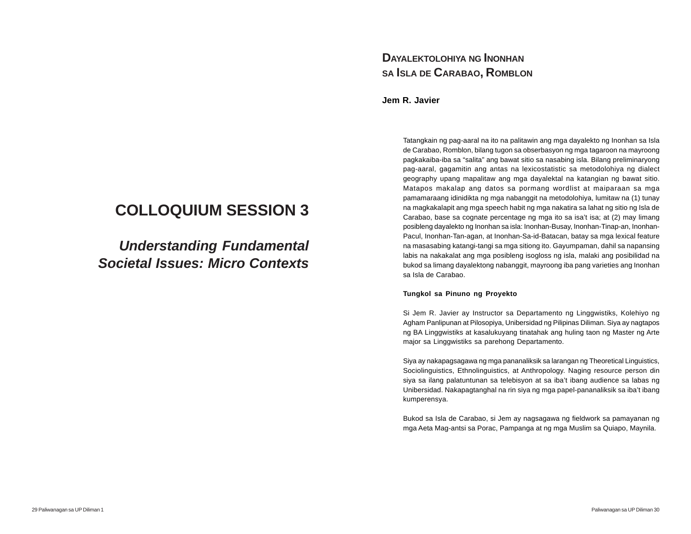# **DAYALEKTOLOHIYA NG INONHAN SA ISLA DE CARABAO, ROMBLON**

**Jem R. Javier**

Tatangkain ng pag-aaral na ito na palitawin ang mga dayalekto ng Inonhan sa Isla de Carabao, Romblon, bilang tugon sa obserbasyon ng mga tagaroon na mayroong pagkakaiba-iba sa "salita" ang bawat sitio sa nasabing isla. Bilang preliminaryong pag-aaral, gagamitin ang antas na lexicostatistic sa metodolohiya ng dialect geography upang mapalitaw ang mga dayalektal na katangian ng bawat sitio. Matapos makalap ang datos sa pormang wordlist at maiparaan sa mga pamamaraang idinidikta ng mga nabanggit na metodolohiya, lumitaw na (1) tunay na magkakalapit ang mga speech habit ng mga nakatira sa lahat ng sitio ng Isla de Carabao, base sa cognate percentage ng mga ito sa isa't isa; at (2) may limang posibleng dayalekto ng Inonhan sa isla: Inonhan-Busay, Inonhan-Tinap-an, Inonhan-Pacul, Inonhan-Tan-agan, at Inonhan-Sa-id-Batacan, batay sa mga lexical feature na masasabing katangi-tangi sa mga sitiong ito. Gayumpaman, dahil sa napansing labis na nakakalat ang mga posibleng isogloss ng isla, malaki ang posibilidad na bukod sa limang dayalektong nabanggit, mayroong iba pang varieties ang Inonhan sa Isla de Carabao.

#### **Tungkol sa Pinuno ng Proyekto**

Si Jem R. Javier ay Instructor sa Departamento ng Linggwistiks, Kolehiyo ng Agham Panlipunan at Pilosopiya, Unibersidad ng Pilipinas Diliman. Siya ay nagtapos ng BA Linggwistiks at kasalukuyang tinatahak ang huling taon ng Master ng Arte major sa Linggwistiks sa parehong Departamento.

Siya ay nakapagsagawa ng mga pananaliksik sa larangan ng Theoretical Linguistics, Sociolinguistics, Ethnolinguistics, at Anthropology. Naging resource person din siya sa ilang palatuntunan sa telebisyon at sa iba't ibang audience sa labas ng Unibersidad. Nakapagtanghal na rin siya ng mga papel-pananaliksik sa iba't ibang kumperensya.

Bukod sa Isla de Carabao, si Jem ay nagsagawa ng fieldwork sa pamayanan ng mga Aeta Mag-antsi sa Porac, Pampanga at ng mga Muslim sa Quiapo, Maynila.

# **COLLOQUIUM SESSION 3**

*Understanding Fundamental Societal Issues: Micro Contexts*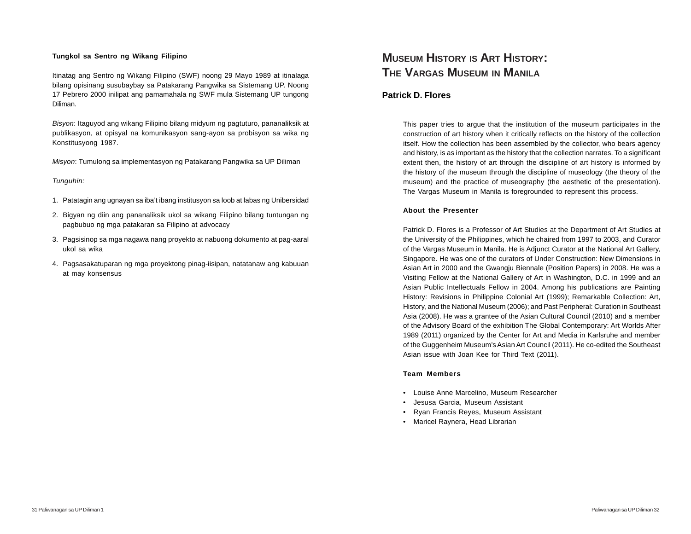#### **Tungkol sa Sentro ng Wikang Filipino**

Itinatag ang Sentro ng Wikang Filipino (SWF) noong 29 Mayo 1989 at itinalaga bilang opisinang susubaybay sa Patakarang Pangwika sa Sistemang UP. Noong 17 Pebrero 2000 inilipat ang pamamahala ng SWF mula Sistemang UP tungong Diliman.

*Bisyon*: Itaguyod ang wikang Filipino bilang midyum ng pagtuturo, pananaliksik at publikasyon, at opisyal na komunikasyon sang-ayon sa probisyon sa wika ng Konstitusyong 1987.

*Misyon*: Tumulong sa implementasyon ng Patakarang Pangwika sa UP Diliman

*Tunguhin:*

- 1. Patatagin ang ugnayan sa iba't ibang institusyon sa loob at labas ng Unibersidad
- 2. Bigyan ng diin ang pananaliksik ukol sa wikang Filipino bilang tuntungan ng pagbubuo ng mga patakaran sa Filipino at advocacy
- 3. Pagsisinop sa mga nagawa nang proyekto at nabuong dokumento at pag-aaral ukol sa wika
- 4. Pagsasakatuparan ng mga proyektong pinag-iisipan, natatanaw ang kabuuan at may konsensus

# **MUSEUM HISTORY IS ART HISTORY: THE VARGAS MUSEUM IN MANILA**

#### **Patrick D. Flores**

This paper tries to argue that the institution of the museum participates in the construction of art history when it critically reflects on the history of the collection itself. How the collection has been assembled by the collector, who bears agency and history, is as important as the history that the collection narrates. To a significant extent then, the history of art through the discipline of art history is informed by the history of the museum through the discipline of museology (the theory of the museum) and the practice of museography (the aesthetic of the presentation). The Vargas Museum in Manila is foregrounded to represent this process.

#### **About the Presenter**

Patrick D. Flores is a Professor of Art Studies at the Department of Art Studies at the University of the Philippines, which he chaired from 1997 to 2003, and Curator of the Vargas Museum in Manila. He is Adjunct Curator at the National Art Gallery, Singapore. He was one of the curators of Under Construction: New Dimensions in Asian Art in 2000 and the Gwangju Biennale (Position Papers) in 2008. He was a Visiting Fellow at the National Gallery of Art in Washington, D.C. in 1999 and an Asian Public Intellectuals Fellow in 2004. Among his publications are Painting History: Revisions in Philippine Colonial Art (1999); Remarkable Collection: Art, History, and the National Museum (2006); and Past Peripheral: Curation in Southeast Asia (2008). He was a grantee of the Asian Cultural Council (2010) and a member of the Advisory Board of the exhibition The Global Contemporary: Art Worlds After 1989 (2011) organized by the Center for Art and Media in Karlsruhe and member of the Guggenheim Museum's Asian Art Council (2011). He co-edited the Southeast Asian issue with Joan Kee for Third Text (2011).

#### **Team Members**

- Louise Anne Marcelino, Museum Researcher
- Jesusa Garcia, Museum Assistant
- Ryan Francis Reyes, Museum Assistant
- Maricel Raynera, Head Librarian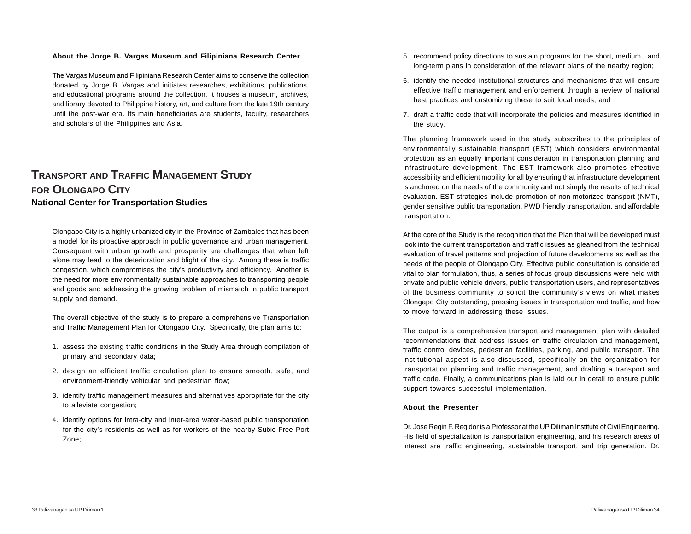#### **About the Jorge B. Vargas Museum and Filipiniana Research Center**

The Vargas Museum and Filipiniana Research Center aims to conserve the collection donated by Jorge B. Vargas and initiates researches, exhibitions, publications, and educational programs around the collection. It houses a museum, archives, and library devoted to Philippine history, art, and culture from the late 19th century until the post-war era. Its main beneficiaries are students, faculty, researchers and scholars of the Philippines and Asia.

## **TRANSPORT AND TRAFFIC MANAGEMENT STUDY FOR OLONGAPO CITY National Center for Transportation Studies**

Olongapo City is a highly urbanized city in the Province of Zambales that has been a model for its proactive approach in public governance and urban management. Consequent with urban growth and prosperity are challenges that when left alone may lead to the deterioration and blight of the city. Among these is traffic congestion, which compromises the city's productivity and efficiency. Another is the need for more environmentally sustainable approaches to transporting people and goods and addressing the growing problem of mismatch in public transport supply and demand.

The overall objective of the study is to prepare a comprehensive Transportation and Traffic Management Plan for Olongapo City. Specifically, the plan aims to:

- 1. assess the existing traffic conditions in the Study Area through compilation of primary and secondary data;
- 2. design an efficient traffic circulation plan to ensure smooth, safe, and environment-friendly vehicular and pedestrian flow;
- 3. identify traffic management measures and alternatives appropriate for the city to alleviate congestion;
- 4. identify options for intra-city and inter-area water-based public transportation for the city's residents as well as for workers of the nearby Subic Free Port Zone;
- 5. recommend policy directions to sustain programs for the short, medium, and long-term plans in consideration of the relevant plans of the nearby region;
- 6. identify the needed institutional structures and mechanisms that will ensure effective traffic management and enforcement through a review of national best practices and customizing these to suit local needs; and
- 7. draft a traffic code that will incorporate the policies and measures identified in the study.

The planning framework used in the study subscribes to the principles of environmentally sustainable transport (EST) which considers environmental protection as an equally important consideration in transportation planning and infrastructure development. The EST framework also promotes effective accessibility and efficient mobility for all by ensuring that infrastructure development is anchored on the needs of the community and not simply the results of technical evaluation. EST strategies include promotion of non-motorized transport (NMT), gender sensitive public transportation, PWD friendly transportation, and affordable transportation.

At the core of the Study is the recognition that the Plan that will be developed must look into the current transportation and traffic issues as gleaned from the technical evaluation of travel patterns and projection of future developments as well as the needs of the people of Olongapo City. Effective public consultation is considered vital to plan formulation, thus, a series of focus group discussions were held with private and public vehicle drivers, public transportation users, and representatives of the business community to solicit the community's views on what makes Olongapo City outstanding, pressing issues in transportation and traffic, and how to move forward in addressing these issues.

The output is a comprehensive transport and management plan with detailed recommendations that address issues on traffic circulation and management, traffic control devices, pedestrian facilities, parking, and public transport. The institutional aspect is also discussed, specifically on the organization for transportation planning and traffic management, and drafting a transport and traffic code. Finally, a communications plan is laid out in detail to ensure public support towards successful implementation.

#### **About the Presenter**

Dr. Jose Regin F. Regidor is a Professor at the UP Diliman Institute of Civil Engineering. His field of specialization is transportation engineering, and his research areas of interest are traffic engineering, sustainable transport, and trip generation. Dr.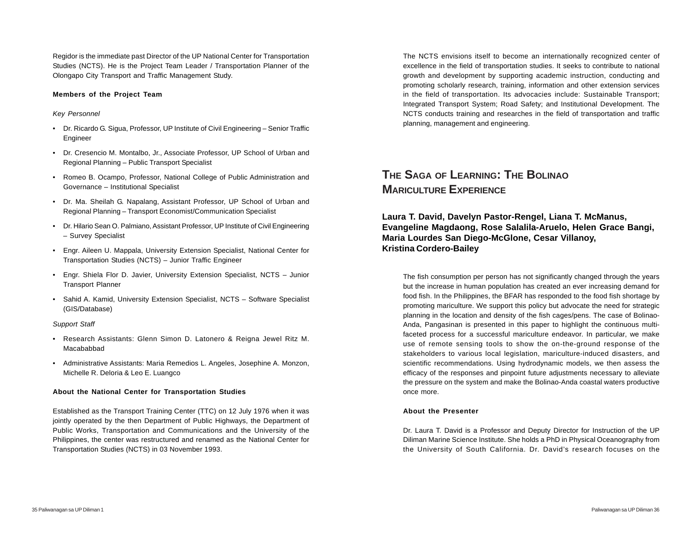Regidor is the immediate past Director of the UP National Center for Transportation Studies (NCTS). He is the Project Team Leader / Transportation Planner of the Olongapo City Transport and Traffic Management Study.

#### **Members of the Project Team**

#### *Key Personnel*

- Dr. Ricardo G. Sigua, Professor, UP Institute of Civil Engineering Senior Traffic Engineer
- Dr. Cresencio M. Montalbo, Jr., Associate Professor, UP School of Urban and Regional Planning – Public Transport Specialist
- Romeo B. Ocampo, Professor, National College of Public Administration and Governance – Institutional Specialist
- Dr. Ma. Sheilah G. Napalang, Assistant Professor, UP School of Urban and Regional Planning – Transport Economist/Communication Specialist
- Dr. Hilario Sean O. Palmiano, Assistant Professor, UP Institute of Civil Engineering – Survey Specialist
- Engr. Aileen U. Mappala, University Extension Specialist, National Center for Transportation Studies (NCTS) – Junior Traffic Engineer
- Engr. Shiela Flor D. Javier, University Extension Specialist, NCTS Junior Transport Planner
- Sahid A. Kamid, University Extension Specialist, NCTS Software Specialist (GIS/Database)

#### *Support Staff*

- Research Assistants: Glenn Simon D. Latonero & Reigna Jewel Ritz M. Macababbad
- Administrative Assistants: Maria Remedios L. Angeles, Josephine A. Monzon, Michelle R. Deloria & Leo E. Luangco

#### **About the National Center for Transportation Studies**

Established as the Transport Training Center (TTC) on 12 July 1976 when it was jointly operated by the then Department of Public Highways, the Department of Public Works, Transportation and Communications and the University of the Philippines, the center was restructured and renamed as the National Center for Transportation Studies (NCTS) in 03 November 1993.

The NCTS envisions itself to become an internationally recognized center of excellence in the field of transportation studies. It seeks to contribute to national growth and development by supporting academic instruction, conducting and promoting scholarly research, training, information and other extension services in the field of transportation. Its advocacies include: Sustainable Transport; Integrated Transport System; Road Safety; and Institutional Development. The NCTS conducts training and researches in the field of transportation and traffic planning, management and engineering.

# **THE SAGA OF LEARNING: THE BOLINAO MARICULTURE EXPERIENCE**

**Laura T. David, Davelyn Pastor-Rengel, Liana T. McManus, Evangeline Magdaong, Rose Salalila-Aruelo, Helen Grace Bangi, Maria Lourdes San Diego-McGlone, Cesar Villanoy, Kristina Cordero-Bailey**

The fish consumption per person has not significantly changed through the years but the increase in human population has created an ever increasing demand for food fish. In the Philippines, the BFAR has responded to the food fish shortage by promoting mariculture. We support this policy but advocate the need for strategic planning in the location and density of the fish cages/pens. The case of Bolinao-Anda, Pangasinan is presented in this paper to highlight the continuous multifaceted process for a successful mariculture endeavor. In particular, we make use of remote sensing tools to show the on-the-ground response of the stakeholders to various local legislation, mariculture-induced disasters, and scientific recommendations. Using hydrodynamic models, we then assess the efficacy of the responses and pinpoint future adjustments necessary to alleviate the pressure on the system and make the Bolinao-Anda coastal waters productive once more.

#### **About the Presenter**

Dr. Laura T. David is a Professor and Deputy Director for Instruction of the UP Diliman Marine Science Institute. She holds a PhD in Physical Oceanography from the University of South California. Dr. David's research focuses on the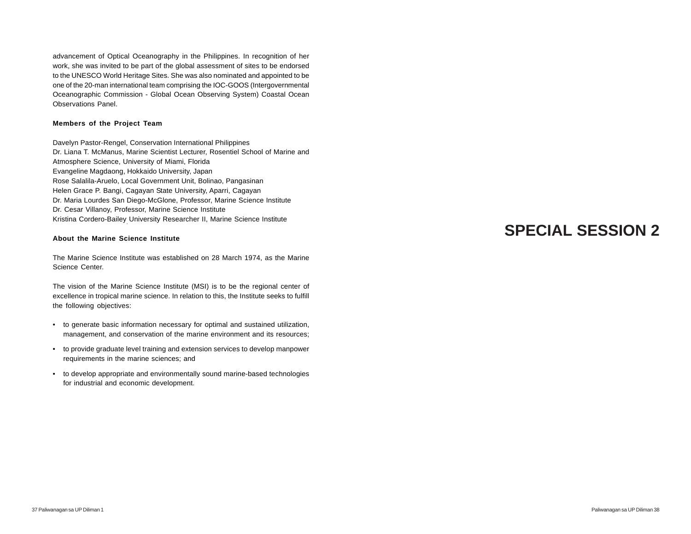advancement of Optical Oceanography in the Philippines. In recognition of her work, she was invited to be part of the global assessment of sites to be endorsed to the UNESCO World Heritage Sites. She was also nominated and appointed to be one of the 20-man international team comprising the IOC-GOOS (Intergovernmental Oceanographic Commission - Global Ocean Observing System) Coastal Ocean Observations Panel.

#### **Members of the Project Team**

Davelyn Pastor-Rengel, Conservation International Philippines Dr. Liana T. McManus, Marine Scientist Lecturer, Rosentiel School of Marine and Atmosphere Science, University of Miami, Florida Evangeline Magdaong, Hokkaido University, Japan Rose Salalila-Aruelo, Local Government Unit, Bolinao, Pangasinan Helen Grace P. Bangi, Cagayan State University, Aparri, Cagayan Dr. Maria Lourdes San Diego-McGlone, Professor, Marine Science Institute Dr. Cesar Villanoy, Professor, Marine Science Institute Kristina Cordero-Bailey University Researcher II, Marine Science Institute

#### **About the Marine Science Institute**

The Marine Science Institute was established on 28 March 1974, as the Marine Science Center.

The vision of the Marine Science Institute (MSI) is to be the regional center of excellence in tropical marine science. In relation to this, the Institute seeks to fulfill the following objectives:

- to generate basic information necessary for optimal and sustained utilization, management, and conservation of the marine environment and its resources;
- to provide graduate level training and extension services to develop manpower requirements in the marine sciences; and
- to develop appropriate and environmentally sound marine-based technologies for industrial and economic development.

# **SPECIAL SESSION 2**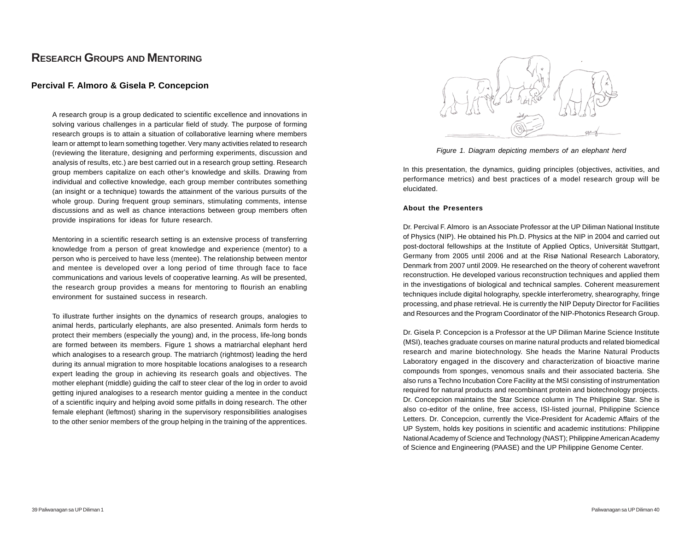## **RESEARCH GROUPS AND MENTORING**

## **Percival F. Almoro & Gisela P. Concepcion**

A research group is a group dedicated to scientific excellence and innovations in solving various challenges in a particular field of study. The purpose of forming research groups is to attain a situation of collaborative learning where members learn or attempt to learn something together. Very many activities related to research (reviewing the literature, designing and performing experiments, discussion and analysis of results, etc.) are best carried out in a research group setting. Research group members capitalize on each other's knowledge and skills. Drawing from individual and collective knowledge, each group member contributes something (an insight or a technique) towards the attainment of the various pursuits of the whole group. During frequent group seminars, stimulating comments, intense discussions and as well as chance interactions between group members often provide inspirations for ideas for future research.

Mentoring in a scientific research setting is an extensive process of transferring knowledge from a person of great knowledge and experience (mentor) to a person who is perceived to have less (mentee). The relationship between mentor and mentee is developed over a long period of time through face to face communications and various levels of cooperative learning. As will be presented, the research group provides a means for mentoring to flourish an enabling environment for sustained success in research.

To illustrate further insights on the dynamics of research groups, analogies to animal herds, particularly elephants, are also presented. Animals form herds to protect their members (especially the young) and, in the process, life-long bonds are formed between its members. Figure 1 shows a matriarchal elephant herd which analogises to a research group. The matriarch (rightmost) leading the herd during its annual migration to more hospitable locations analogises to a research expert leading the group in achieving its research goals and objectives. The mother elephant (middle) guiding the calf to steer clear of the log in order to avoid getting injured analogises to a research mentor guiding a mentee in the conduct of a scientific inquiry and helping avoid some pitfalls in doing research. The other female elephant (leftmost) sharing in the supervisory responsibilities analogises to the other senior members of the group helping in the training of the apprentices.



*Figure 1. Diagram depicting members of an elephant herd*

In this presentation, the dynamics, guiding principles (objectives, activities, and performance metrics) and best practices of a model research group will be elucidated.

#### **About the Presenters**

Dr. Percival F. Almoro is an Associate Professor at the UP Diliman National Institute of Physics (NIP). He obtained his Ph.D. Physics at the NIP in 2004 and carried out post-doctoral fellowships at the Institute of Applied Optics, Universität Stuttgart, Germany from 2005 until 2006 and at the Risø National Research Laboratory, Denmark from 2007 until 2009. He researched on the theory of coherent wavefront reconstruction. He developed various reconstruction techniques and applied them in the investigations of biological and technical samples. Coherent measurement techniques include digital holography, speckle interferometry, shearography, fringe processing, and phase retrieval. He is currently the NIP Deputy Director for Facilities and Resources and the Program Coordinator of the NIP-Photonics Research Group.

Dr. Gisela P. Concepcion is a Professor at the UP Diliman Marine Science Institute (MSI), teaches graduate courses on marine natural products and related biomedical research and marine biotechnology. She heads the Marine Natural Products Laboratory engaged in the discovery and characterization of bioactive marine compounds from sponges, venomous snails and their associated bacteria. She also runs a Techno Incubation Core Facility at the MSI consisting of instrumentation required for natural products and recombinant protein and biotechnology projects. Dr. Concepcion maintains the Star Science column in The Philippine Star. She is also co-editor of the online, free access, ISI-listed journal, Philippine Science Letters. Dr. Concepcion, currently the Vice-President for Academic Affairs of the UP System, holds key positions in scientific and academic institutions: Philippine National Academy of Science and Technology (NAST); Philippine American Academy of Science and Engineering (PAASE) and the UP Philippine Genome Center.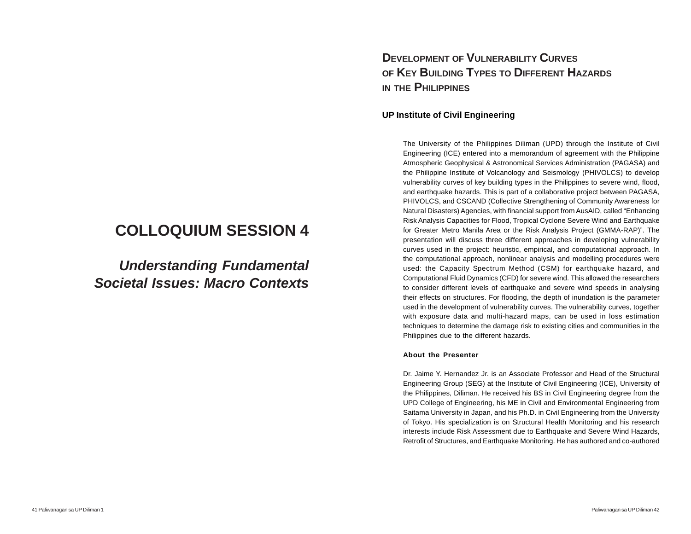# **COLLOQUIUM SESSION 4**

*Understanding Fundamental Societal Issues: Macro Contexts*

# **DEVELOPMENT OF VULNERABILITY CURVES OF KEY BUILDING TYPES TO DIFFERENT HAZARDS IN THE PHILIPPINES**

## **UP Institute of Civil Engineering**

The University of the Philippines Diliman (UPD) through the Institute of Civil Engineering (ICE) entered into a memorandum of agreement with the Philippine Atmospheric Geophysical & Astronomical Services Administration (PAGASA) and the Philippine Institute of Volcanology and Seismology (PHIVOLCS) to develop vulnerability curves of key building types in the Philippines to severe wind, flood, and earthquake hazards. This is part of a collaborative project between PAGASA, PHIVOLCS, and CSCAND (Collective Strengthening of Community Awareness for Natural Disasters) Agencies, with financial support from AusAID, called "Enhancing Risk Analysis Capacities for Flood, Tropical Cyclone Severe Wind and Earthquake for Greater Metro Manila Area or the Risk Analysis Project (GMMA-RAP)". The presentation will discuss three different approaches in developing vulnerability curves used in the project: heuristic, empirical, and computational approach. In the computational approach, nonlinear analysis and modelling procedures were used: the Capacity Spectrum Method (CSM) for earthquake hazard, and Computational Fluid Dynamics (CFD) for severe wind. This allowed the researchers to consider different levels of earthquake and severe wind speeds in analysing their effects on structures. For flooding, the depth of inundation is the parameter used in the development of vulnerability curves. The vulnerability curves, together with exposure data and multi-hazard maps, can be used in loss estimation techniques to determine the damage risk to existing cities and communities in the Philippines due to the different hazards.

#### **About the Presenter**

Dr. Jaime Y. Hernandez Jr. is an Associate Professor and Head of the Structural Engineering Group (SEG) at the Institute of Civil Engineering (ICE), University of the Philippines, Diliman. He received his BS in Civil Engineering degree from the UPD College of Engineering, his ME in Civil and Environmental Engineering from Saitama University in Japan, and his Ph.D. in Civil Engineering from the University of Tokyo. His specialization is on Structural Health Monitoring and his research interests include Risk Assessment due to Earthquake and Severe Wind Hazards, Retrofit of Structures, and Earthquake Monitoring. He has authored and co-authored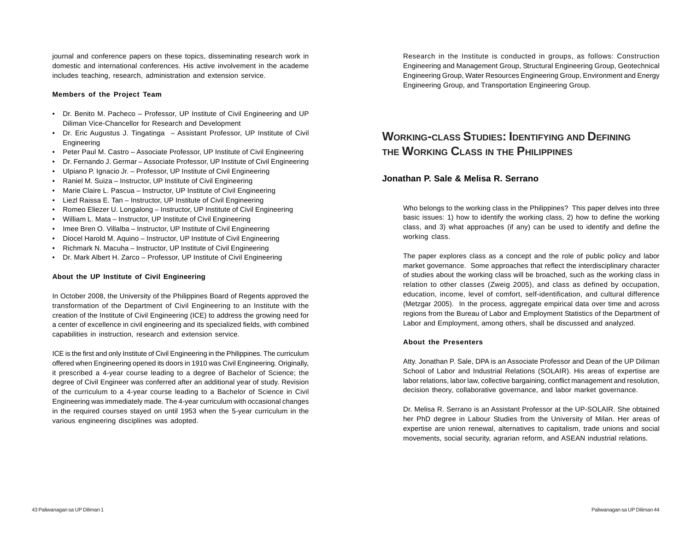journal and conference papers on these topics, disseminating research work in domestic and international conferences. His active involvement in the academe includes teaching, research, administration and extension service.

#### **Members of the Project Team**

- Dr. Benito M. Pacheco Professor, UP Institute of Civil Engineering and UP Diliman Vice-Chancellor for Research and Development
- Dr. Eric Augustus J. Tingatinga Assistant Professor, UP Institute of Civil Engineering
- Peter Paul M. Castro Associate Professor, UP Institute of Civil Engineering
- Dr. Fernando J. Germar Associate Professor, UP Institute of Civil Engineering
- Ulpiano P. Ignacio Jr. Professor, UP Institute of Civil Engineering
- Raniel M. Suiza Instructor, UP Institute of Civil Engineering
- Marie Claire L. Pascua Instructor, UP Institute of Civil Engineering
- Liezl Raissa E. Tan Instructor, UP Institute of Civil Engineering
- Romeo Eliezer U. Longalong Instructor, UP Institute of Civil Engineering
- William L. Mata Instructor, UP Institute of Civil Engineering
- Imee Bren O. Villalba Instructor, UP Institute of Civil Engineering
- Diocel Harold M. Aquino Instructor, UP Institute of Civil Engineering
- Richmark N. Macuha Instructor, UP Institute of Civil Engineering
- Dr. Mark Albert H. Zarco Professor, UP Institute of Civil Engineering

## **About the UP Institute of Civil Engineering**

In October 2008, the University of the Philippines Board of Regents approved the transformation of the Department of Civil Engineering to an Institute with the creation of the Institute of Civil Engineering (ICE) to address the growing need for a center of excellence in civil engineering and its specialized fields, with combined capabilities in instruction, research and extension service.

ICE is the first and only Institute of Civil Engineering in the Philippines. The curriculum offered when Engineering opened its doors in 1910 was Civil Engineering. Originally, it prescribed a 4-year course leading to a degree of Bachelor of Science; the degree of Civil Engineer was conferred after an additional year of study. Revision of the curriculum to a 4-year course leading to a Bachelor of Science in Civil Engineering was immediately made. The 4-year curriculum with occasional changes in the required courses stayed on until 1953 when the 5-year curriculum in the various engineering disciplines was adopted.

Research in the Institute is conducted in groups, as follows: Construction Engineering and Management Group, Structural Engineering Group, Geotechnical Engineering Group, Water Resources Engineering Group, Environment and Energy Engineering Group, and Transportation Engineering Group.

# **WORKING-CLASS STUDIES: IDENTIFYING AND DEFINING THE WORKING CLASS IN THE PHILIPPINES**

## **Jonathan P. Sale & Melisa R. Serrano**

Who belongs to the working class in the Philippines? This paper delves into three basic issues: 1) how to identify the working class, 2) how to define the working class, and 3) what approaches (if any) can be used to identify and define the working class.

The paper explores class as a concept and the role of public policy and labor market governance. Some approaches that reflect the interdisciplinary character of studies about the working class will be broached, such as the working class in relation to other classes (Zweig 2005), and class as defined by occupation, education, income, level of comfort, self-identification, and cultural difference (Metzgar 2005). In the process, aggregate empirical data over time and across regions from the Bureau of Labor and Employment Statistics of the Department of Labor and Employment, among others, shall be discussed and analyzed.

#### **About the Presenters**

Atty. Jonathan P. Sale, DPA is an Associate Professor and Dean of the UP Diliman School of Labor and Industrial Relations (SOLAIR). His areas of expertise are labor relations, labor law, collective bargaining, conflict management and resolution, decision theory, collaborative governance, and labor market governance.

Dr. Melisa R. Serrano is an Assistant Professor at the UP-SOLAIR. She obtained her PhD degree in Labour Studies from the University of Milan. Her areas of expertise are union renewal, alternatives to capitalism, trade unions and social movements, social security, agrarian reform, and ASEAN industrial relations.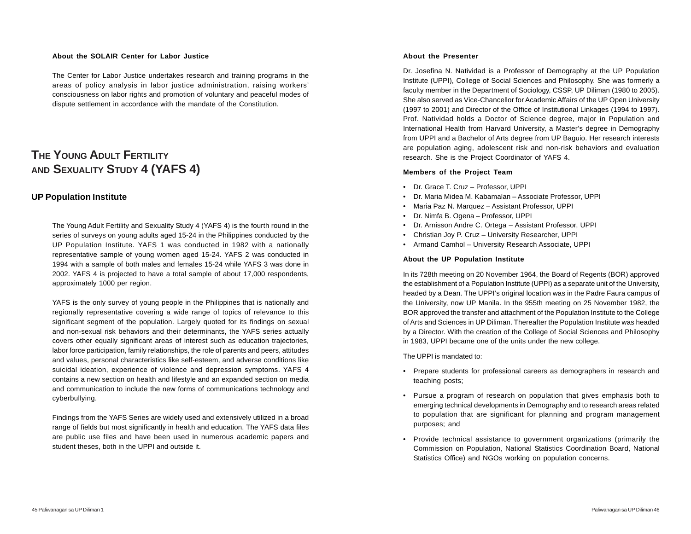#### **About the SOLAIR Center for Labor Justice**

The Center for Labor Justice undertakes research and training programs in the areas of policy analysis in labor justice administration, raising workers' consciousness on labor rights and promotion of voluntary and peaceful modes of dispute settlement in accordance with the mandate of the Constitution.

# **THE YOUNG ADULT FERTILITY AND SEXUALITY STUDY 4 (YAFS 4)**

## **UP Population Institute**

The Young Adult Fertility and Sexuality Study 4 (YAFS 4) is the fourth round in the series of surveys on young adults aged 15-24 in the Philippines conducted by the UP Population Institute. YAFS 1 was conducted in 1982 with a nationally representative sample of young women aged 15-24. YAFS 2 was conducted in 1994 with a sample of both males and females 15-24 while YAFS 3 was done in 2002. YAFS 4 is projected to have a total sample of about 17,000 respondents, approximately 1000 per region.

YAFS is the only survey of young people in the Philippines that is nationally and regionally representative covering a wide range of topics of relevance to this significant segment of the population. Largely quoted for its findings on sexual and non-sexual risk behaviors and their determinants, the YAFS series actually covers other equally significant areas of interest such as education trajectories, labor force participation, family relationships, the role of parents and peers, attitudes and values, personal characteristics like self-esteem, and adverse conditions like suicidal ideation, experience of violence and depression symptoms. YAFS 4 contains a new section on health and lifestyle and an expanded section on media and communication to include the new forms of communications technology and cyberbullying.

Findings from the YAFS Series are widely used and extensively utilized in a broad range of fields but most significantly in health and education. The YAFS data files are public use files and have been used in numerous academic papers and student theses, both in the UPPI and outside it.

#### **About the Presenter**

Dr. Josefina N. Natividad is a Professor of Demography at the UP Population Institute (UPPI), College of Social Sciences and Philosophy. She was formerly a faculty member in the Department of Sociology, CSSP, UP Diliman (1980 to 2005). She also served as Vice-Chancellor for Academic Affairs of the UP Open University (1997 to 2001) and Director of the Office of Institutional Linkages (1994 to 1997). Prof. Natividad holds a Doctor of Science degree, major in Population and International Health from Harvard University, a Master's degree in Demography from UPPI and a Bachelor of Arts degree from UP Baguio. Her research interests are population aging, adolescent risk and non-risk behaviors and evaluation research. She is the Project Coordinator of YAFS 4.

#### **Members of the Project Team**

- Dr. Grace T. Cruz Professor, UPPI
- Dr. Maria Midea M. Kabamalan Associate Professor, UPPI
- Maria Paz N. Marquez Assistant Professor, UPPI
- Dr. Nimfa B. Ogena Professor, UPPI
- Dr. Arnisson Andre C. Ortega Assistant Professor, UPPI
- Christian Joy P. Cruz University Researcher, UPPI
- Armand Camhol University Research Associate, UPPI

#### **About the UP Population Institute**

In its 728th meeting on 20 November 1964, the Board of Regents (BOR) approved the establishment of a Population Institute (UPPI) as a separate unit of the University, headed by a Dean. The UPPI's original location was in the Padre Faura campus of the University, now UP Manila. In the 955th meeting on 25 November 1982, the BOR approved the transfer and attachment of the Population Institute to the College of Arts and Sciences in UP Diliman. Thereafter the Population Institute was headed by a Director. With the creation of the College of Social Sciences and Philosophy in 1983, UPPI became one of the units under the new college.

The UPPI is mandated to:

- Prepare students for professional careers as demographers in research and teaching posts;
- Pursue a program of research on population that gives emphasis both to emerging technical developments in Demography and to research areas related to population that are significant for planning and program management purposes; and
- Provide technical assistance to government organizations (primarily the Commission on Population, National Statistics Coordination Board, National Statistics Office) and NGOs working on population concerns.